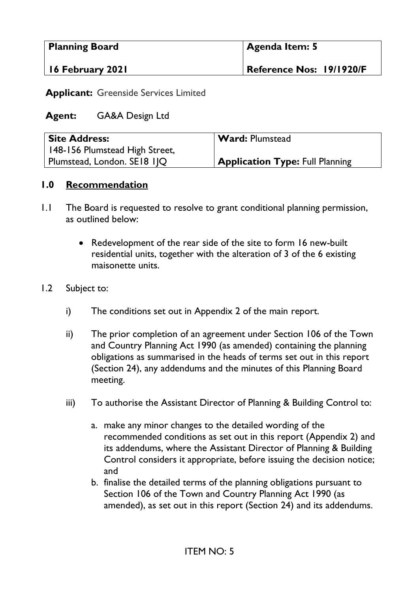| <b>Planning Board</b> | Agenda Item: 5           |  |
|-----------------------|--------------------------|--|
| 16 February 2021      | Reference Nos: 19/1920/F |  |

**Applicant:** Greenside Services Limited

### **Agent:** GA&A Design Ltd

| <b>Site Address:</b>           | Ward: Plumstead                        |
|--------------------------------|----------------------------------------|
| 148-156 Plumstead High Street, |                                        |
| Plumstead, London. SE18 11Q    | <b>Application Type: Full Planning</b> |

### **1.0 Recommendation**

- 1.1 The Board is requested to resolve to grant conditional planning permission, as outlined below:
	- Redevelopment of the rear side of the site to form 16 new-built residential units, together with the alteration of 3 of the 6 existing maisonette units.

#### 1.2 Subject to:

- i) The conditions set out in Appendix 2 of the main report.
- ii) The prior completion of an agreement under Section 106 of the Town and Country Planning Act 1990 (as amended) containing the planning obligations as summarised in the heads of terms set out in this report (Section 24), any addendums and the minutes of this Planning Board meeting.
- iii) To authorise the Assistant Director of Planning & Building Control to:
	- a. make any minor changes to the detailed wording of the recommended conditions as set out in this report (Appendix 2) and its addendums, where the Assistant Director of Planning & Building Control considers it appropriate, before issuing the decision notice; and
	- b. finalise the detailed terms of the planning obligations pursuant to Section 106 of the Town and Country Planning Act 1990 (as amended), as set out in this report (Section 24) and its addendums.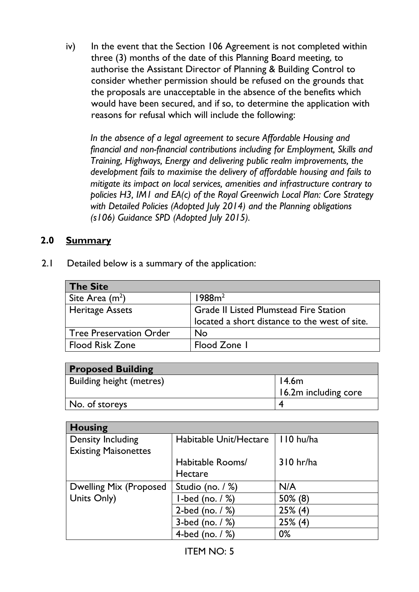iv) In the event that the Section 106 Agreement is not completed within three (3) months of the date of this Planning Board meeting, to authorise the Assistant Director of Planning & Building Control to consider whether permission should be refused on the grounds that the proposals are unacceptable in the absence of the benefits which would have been secured, and if so, to determine the application with reasons for refusal which will include the following:

*In the absence of a legal agreement to secure Affordable Housing and financial and non-financial contributions including for Employment, Skills and Training, Highways, Energy and delivering public realm improvements, the development fails to maximise the delivery of affordable housing and fails to mitigate its impact on local services, amenities and infrastructure contrary to policies H3, IM1 and EA(c) of the Royal Greenwich Local Plan: Core Strategy with Detailed Policies (Adopted July 2014) and the Planning obligations (s106) Guidance SPD (Adopted July 2015).* 

### **2.0 Summary**

2.1 Detailed below is a summary of the application:

| <b>The Site</b>                |                                               |
|--------------------------------|-----------------------------------------------|
| Site Area $(m^2)$              | 1988m <sup>2</sup>                            |
| <b>Heritage Assets</b>         | <b>Grade II Listed Plumstead Fire Station</b> |
|                                | located a short distance to the west of site. |
| <b>Tree Preservation Order</b> | No                                            |
| <b>Flood Risk Zone</b>         | Flood Zone I                                  |

| <b>Proposed Building</b>        |                      |
|---------------------------------|----------------------|
| <b>Building height (metres)</b> | 14.6m                |
|                                 | 16.2m including core |
| No. of storeys                  |                      |

| <b>Housing</b>              |                        |             |
|-----------------------------|------------------------|-------------|
| <b>Density Including</b>    | Habitable Unit/Hectare | 110 hu/ha   |
| <b>Existing Maisonettes</b> |                        |             |
|                             | Habitable Rooms/       | $310$ hr/ha |
|                             | <b>Hectare</b>         |             |
| Dwelling Mix (Proposed      | Studio (no. / %)       | N/A         |
| Units Only)                 | $l$ -bed (no. $/$ %)   | $50\%$ (8)  |
|                             | 2-bed (no. $/$ %)      | $25\%$ (4)  |
|                             | 3-bed (no. $/$ %)      | $25\%$ (4)  |
|                             | 4-bed (no. / %)        | $0\%$       |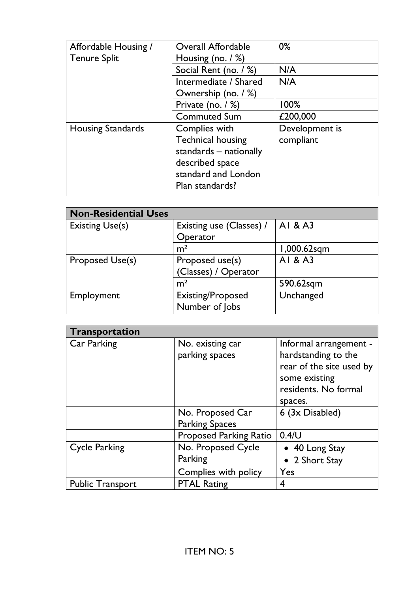| Affordable Housing /<br><b>Tenure Split</b> | <b>Overall Affordable</b><br>Housing (no. $/$ %) | $0\%$          |
|---------------------------------------------|--------------------------------------------------|----------------|
|                                             | Social Rent (no. / %)                            | N/A            |
|                                             | Intermediate / Shared                            | N/A            |
|                                             | Ownership (no. / %)                              |                |
|                                             | Private (no. $/$ %)                              | 100%           |
|                                             | <b>Commuted Sum</b>                              | £200,000       |
| <b>Housing Standards</b>                    | Complies with                                    | Development is |
|                                             | <b>Technical housing</b>                         | compliant      |
|                                             | standards – nationally                           |                |
|                                             | described space                                  |                |
|                                             | standard and London                              |                |
|                                             | Plan standards?                                  |                |

| <b>Non-Residential Uses</b> |                          |             |
|-----------------------------|--------------------------|-------------|
| <b>Existing Use(s)</b>      | Existing use (Classes) / | AI & A3     |
|                             | Operator                 |             |
|                             | m <sup>2</sup>           | 1,000.62sqm |
| Proposed Use(s)             | Proposed use(s)          | AI & A3     |
|                             | (Classes) / Operator     |             |
|                             | m <sup>2</sup>           | 590.62sqm   |
| Employment                  | Existing/Proposed        | Unchanged   |
|                             | Number of Jobs           |             |

| Transportation          |                               |                          |
|-------------------------|-------------------------------|--------------------------|
| Car Parking             | No. existing car              | Informal arrangement -   |
|                         | parking spaces                | hardstanding to the      |
|                         |                               | rear of the site used by |
|                         |                               | some existing            |
|                         |                               | residents. No formal     |
|                         |                               | spaces.                  |
|                         | No. Proposed Car              | 6 (3x Disabled)          |
|                         | <b>Parking Spaces</b>         |                          |
|                         | <b>Proposed Parking Ratio</b> | $0.4$ /U                 |
| <b>Cycle Parking</b>    | No. Proposed Cycle            | • 40 Long Stay           |
|                         | Parking                       | • 2 Short Stay           |
|                         | Complies with policy          | Yes                      |
| <b>Public Transport</b> | <b>PTAL Rating</b>            | 4                        |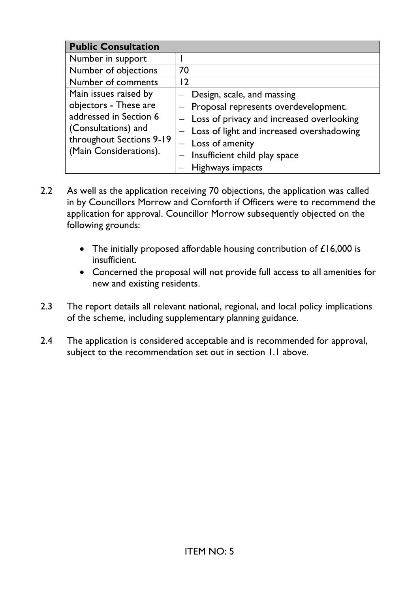| <b>Public Consultation</b> |                                             |
|----------------------------|---------------------------------------------|
| Number in support          |                                             |
| Number of objections       | 70                                          |
| Number of comments         | 12                                          |
| Main issues raised by      | Design, scale, and massing                  |
| objectors - These are      | Proposal represents overdevelopment.        |
| addressed in Section 6     | - Loss of privacy and increased overlooking |
| (Consultations) and        | - Loss of light and increased overshadowing |
| throughout Sections 9-19   | $-$ Loss of amenity                         |
| (Main Considerations).     | $-$ Insufficient child play space           |
|                            | Highways impacts                            |

- 2.2 As well as the application receiving 70 objections, the application was called in by Councillors Morrow and Cornforth if Officers were to recommend the application for approval. Councillor Morrow subsequently objected on the following grounds:
	- The initially proposed affordable housing contribution of £16,000 is insufficient.
	- Concerned the proposal will not provide full access to all amenities for new and existing residents.
- 2.3 The report details all relevant national, regional, and local policy implications of the scheme, including supplementary planning guidance.
- 2.4 The application is considered acceptable and is recommended for approval, subject to the recommendation set out in section 1.1 above.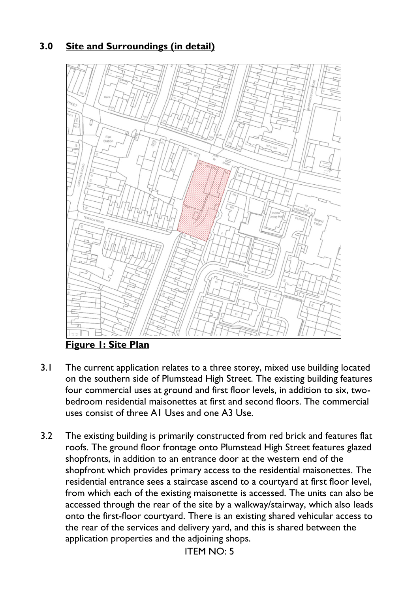# **3.0 Site and Surroundings (in detail)**



**Figure 1: Site Plan** 

- 3.1 The current application relates to a three storey, mixed use building located on the southern side of Plumstead High Street. The existing building features four commercial uses at ground and first floor levels, in addition to six, twobedroom residential maisonettes at first and second floors. The commercial uses consist of three A1 Uses and one A3 Use.
- 3.2 The existing building is primarily constructed from red brick and features flat roofs. The ground floor frontage onto Plumstead High Street features glazed shopfronts, in addition to an entrance door at the western end of the shopfront which provides primary access to the residential maisonettes. The residential entrance sees a staircase ascend to a courtyard at first floor level, from which each of the existing maisonette is accessed. The units can also be accessed through the rear of the site by a walkway/stairway, which also leads onto the first-floor courtyard. There is an existing shared vehicular access to the rear of the services and delivery yard, and this is shared between the application properties and the adjoining shops.

ITEM NO: 5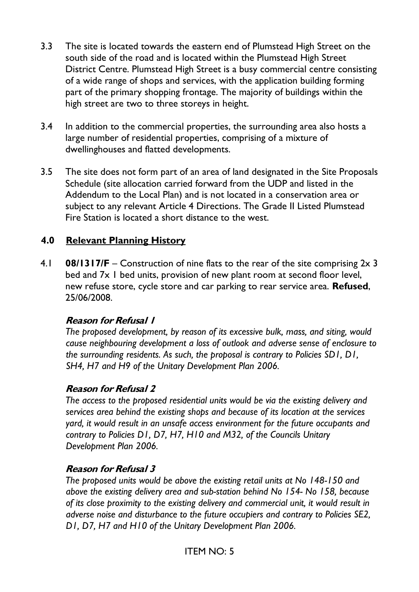- 3.3 The site is located towards the eastern end of Plumstead High Street on the south side of the road and is located within the Plumstead High Street District Centre. Plumstead High Street is a busy commercial centre consisting of a wide range of shops and services, with the application building forming part of the primary shopping frontage. The majority of buildings within the high street are two to three storeys in height.
- 3.4 In addition to the commercial properties, the surrounding area also hosts a large number of residential properties, comprising of a mixture of dwellinghouses and flatted developments.
- 3.5 The site does not form part of an area of land designated in the Site Proposals Schedule (site allocation carried forward from the UDP and listed in the Addendum to the Local Plan) and is not located in a conservation area or subject to any relevant Article 4 Directions. The Grade II Listed Plumstead Fire Station is located a short distance to the west.

### **4.0 Relevant Planning History**

4.1 **08/1317/F** – Construction of nine flats to the rear of the site comprising 2x 3 bed and 7x 1 bed units, provision of new plant room at second floor level, new refuse store, cycle store and car parking to rear service area. **Refused**, 25/06/2008.

#### **Reason for Refusal 1**

*The proposed development, by reason of its excessive bulk, mass, and siting, would cause neighbouring development a loss of outlook and adverse sense of enclosure to the surrounding residents. As such, the proposal is contrary to Policies SD1, D1, SH4, H7 and H9 of the Unitary Development Plan 2006.* 

#### **Reason for Refusal 2**

*The access to the proposed residential units would be via the existing delivery and services area behind the existing shops and because of its location at the services yard, it would result in an unsafe access environment for the future occupants and contrary to Policies D1, D7, H7, H10 and M32, of the Councils Unitary Development Plan 2006.* 

#### **Reason for Refusal 3**

*The proposed units would be above the existing retail units at No 148-150 and above the existing delivery area and sub-station behind No 154- No 158, because of its close proximity to the existing delivery and commercial unit, it would result in adverse noise and disturbance to the future occupiers and contrary to Policies SE2, D1, D7, H7 and H10 of the Unitary Development Plan 2006.*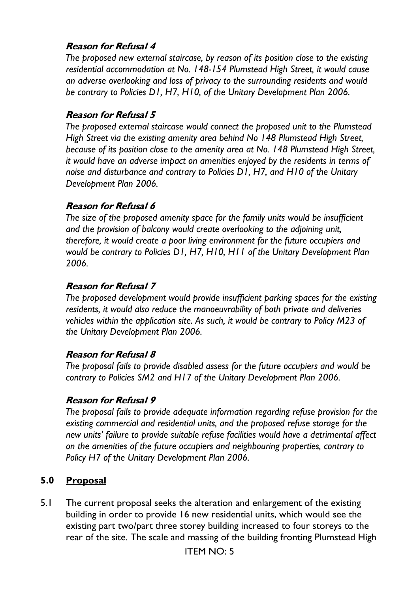## **Reason for Refusal 4**

*The proposed new external staircase, by reason of its position close to the existing residential accommodation at No. 148-154 Plumstead High Street, it would cause an adverse overlooking and loss of privacy to the surrounding residents and would be contrary to Policies D1, H7, H10, of the Unitary Development Plan 2006.* 

#### **Reason for Refusal 5**

*The proposed external staircase would connect the proposed unit to the Plumstead High Street via the existing amenity area behind No 148 Plumstead High Street, because of its position close to the amenity area at No. 148 Plumstead High Street, it would have an adverse impact on amenities enjoyed by the residents in terms of noise and disturbance and contrary to Policies D1, H7, and H10 of the Unitary Development Plan 2006.* 

### **Reason for Refusal 6**

*The size of the proposed amenity space for the family units would be insufficient and the provision of balcony would create overlooking to the adjoining unit, therefore, it would create a poor living environment for the future occupiers and would be contrary to Policies D1, H7, H10, H11 of the Unitary Development Plan 2006.* 

#### **Reason for Refusal 7**

*The proposed development would provide insufficient parking spaces for the existing residents, it would also reduce the manoeuvrability of both private and deliveries vehicles within the application site. As such, it would be contrary to Policy M23 of the Unitary Development Plan 2006.* 

### **Reason for Refusal 8**

*The proposal fails to provide disabled assess for the future occupiers and would be contrary to Policies SM2 and H17 of the Unitary Development Plan 2006.* 

#### **Reason for Refusal 9**

*The proposal fails to provide adequate information regarding refuse provision for the existing commercial and residential units, and the proposed refuse storage for the new units' failure to provide suitable refuse facilities would have a detrimental affect on the amenities of the future occupiers and neighbouring properties, contrary to Policy H7 of the Unitary Development Plan 2006.* 

### **5.0 Proposal**

5.1 The current proposal seeks the alteration and enlargement of the existing building in order to provide 16 new residential units, which would see the existing part two/part three storey building increased to four storeys to the rear of the site. The scale and massing of the building fronting Plumstead High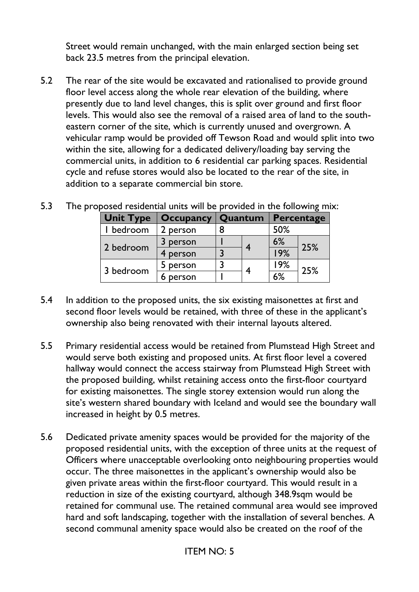Street would remain unchanged, with the main enlarged section being set back 23.5 metres from the principal elevation.

5.2 The rear of the site would be excavated and rationalised to provide ground floor level access along the whole rear elevation of the building, where presently due to land level changes, this is split over ground and first floor levels. This would also see the removal of a raised area of land to the southeastern corner of the site, which is currently unused and overgrown. A vehicular ramp would be provided off Tewson Road and would split into two within the site, allowing for a dedicated delivery/loading bay serving the commercial units, in addition to 6 residential car parking spaces. Residential cycle and refuse stores would also be located to the rear of the site, in addition to a separate commercial bin store.

| <b>Unit Type</b> | <b>Occupancy</b> | Quantum |   | Percentage |     |
|------------------|------------------|---------|---|------------|-----|
| bedroom          | person           |         |   | 50%        |     |
| 2 bedroom        | person           |         |   | 6%         | 25% |
|                  | 4 person         |         |   | 19%        |     |
| 3 bedroom        | 5 person         |         |   | 19%        | 25% |
|                  | person           |         | 4 | 6%         |     |

5.3 The proposed residential units will be provided in the following mix:

- 5.4 In addition to the proposed units, the six existing maisonettes at first and second floor levels would be retained, with three of these in the applicant's ownership also being renovated with their internal layouts altered.
- 5.5 Primary residential access would be retained from Plumstead High Street and would serve both existing and proposed units. At first floor level a covered hallway would connect the access stairway from Plumstead High Street with the proposed building, whilst retaining access onto the first-floor courtyard for existing maisonettes. The single storey extension would run along the site's western shared boundary with Iceland and would see the boundary wall increased in height by 0.5 metres.
- 5.6 Dedicated private amenity spaces would be provided for the majority of the proposed residential units, with the exception of three units at the request of Officers where unacceptable overlooking onto neighbouring properties would occur. The three maisonettes in the applicant's ownership would also be given private areas within the first-floor courtyard. This would result in a reduction in size of the existing courtyard, although 348.9sqm would be retained for communal use. The retained communal area would see improved hard and soft landscaping, together with the installation of several benches. A second communal amenity space would also be created on the roof of the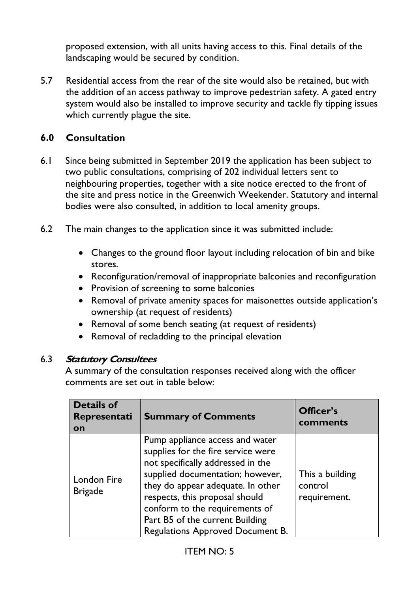proposed extension, with all units having access to this. Final details of the landscaping would be secured by condition.

5.7 Residential access from the rear of the site would also be retained, but with the addition of an access pathway to improve pedestrian safety. A gated entry system would also be installed to improve security and tackle fly tipping issues which currently plague the site.

### **6.0 Consultation**

- 6.1 Since being submitted in September 2019 the application has been subject to two public consultations, comprising of 202 individual letters sent to neighbouring properties, together with a site notice erected to the front of the site and press notice in the Greenwich Weekender. Statutory and internal bodies were also consulted, in addition to local amenity groups.
- 6.2 The main changes to the application since it was submitted include:
	- Changes to the ground floor layout including relocation of bin and bike stores.
	- Reconfiguration/removal of inappropriate balconies and reconfiguration
	- Provision of screening to some balconies
	- Removal of private amenity spaces for maisonettes outside application's ownership (at request of residents)
	- Removal of some bench seating (at request of residents)
	- Removal of recladding to the principal elevation

#### 6.3 **Statutory Consultees**

A summary of the consultation responses received along with the officer comments are set out in table below:

| <b>Details of</b><br>Representati<br>on | <b>Summary of Comments</b>                                                                                                                                                                                                                                                                                                     | Officer's<br>comments                      |
|-----------------------------------------|--------------------------------------------------------------------------------------------------------------------------------------------------------------------------------------------------------------------------------------------------------------------------------------------------------------------------------|--------------------------------------------|
| <b>London Fire</b><br><b>Brigade</b>    | Pump appliance access and water<br>supplies for the fire service were<br>not specifically addressed in the<br>supplied documentation; however,<br>they do appear adequate. In other<br>respects, this proposal should<br>conform to the requirements of<br>Part B5 of the current Building<br>Regulations Approved Document B. | This a building<br>control<br>requirement. |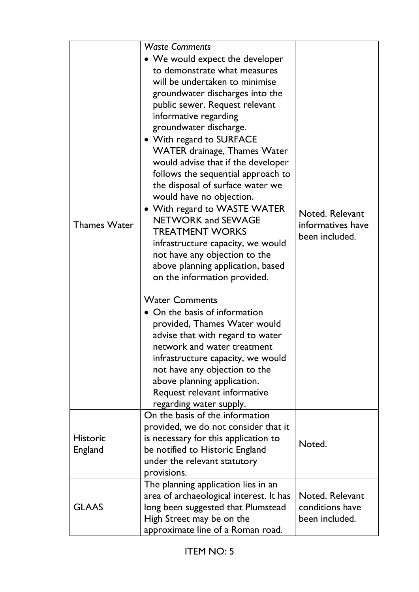| <b>Thames Water</b>        | <b>Waste Comments</b><br>• We would expect the developer<br>to demonstrate what measures<br>will be undertaken to minimise<br>groundwater discharges into the<br>public sewer. Request relevant<br>informative regarding<br>groundwater discharge.<br>• With regard to SURFACE<br><b>WATER drainage, Thames Water</b><br>would advise that if the developer<br>follows the sequential approach to<br>the disposal of surface water we<br>would have no objection.<br>• With regard to WASTE WATER<br><b>NETWORK and SEWAGE</b><br><b>TREATMENT WORKS</b><br>infrastructure capacity, we would<br>not have any objection to the<br>above planning application, based<br>on the information provided.<br><b>Water Comments</b><br>• On the basis of information<br>provided, Thames Water would<br>advise that with regard to water<br>network and water treatment<br>infrastructure capacity, we would<br>not have any objection to the<br>above planning application.<br>Request relevant informative<br>regarding water supply. | Noted. Relevant<br>informatives have<br>been included. |
|----------------------------|----------------------------------------------------------------------------------------------------------------------------------------------------------------------------------------------------------------------------------------------------------------------------------------------------------------------------------------------------------------------------------------------------------------------------------------------------------------------------------------------------------------------------------------------------------------------------------------------------------------------------------------------------------------------------------------------------------------------------------------------------------------------------------------------------------------------------------------------------------------------------------------------------------------------------------------------------------------------------------------------------------------------------------|--------------------------------------------------------|
| <b>Historic</b><br>England | On the basis of the information<br>provided, we do not consider that it<br>is necessary for this application to<br>be notified to Historic England<br>under the relevant statutory<br>provisions.                                                                                                                                                                                                                                                                                                                                                                                                                                                                                                                                                                                                                                                                                                                                                                                                                                | Noted.                                                 |
| <b>GLAAS</b>               | The planning application lies in an<br>area of archaeological interest. It has<br>long been suggested that Plumstead<br>High Street may be on the<br>approximate line of a Roman road.                                                                                                                                                                                                                                                                                                                                                                                                                                                                                                                                                                                                                                                                                                                                                                                                                                           | Noted. Relevant<br>conditions have<br>been included.   |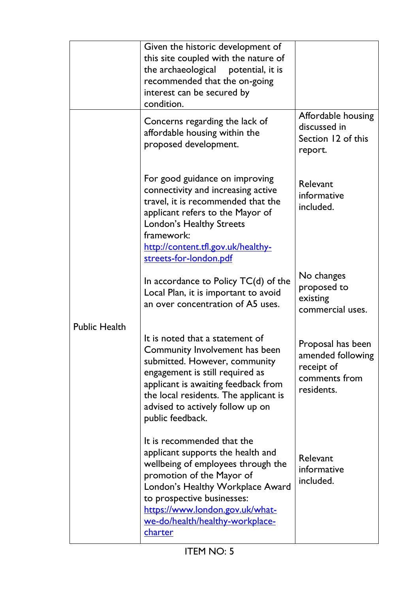|                      | Given the historic development of<br>this site coupled with the nature of<br>the archaeological potential, it is<br>recommended that the on-going<br>interest can be secured by<br>condition.                                                                                         |                                                                                     |
|----------------------|---------------------------------------------------------------------------------------------------------------------------------------------------------------------------------------------------------------------------------------------------------------------------------------|-------------------------------------------------------------------------------------|
|                      | Concerns regarding the lack of<br>affordable housing within the<br>proposed development.                                                                                                                                                                                              | Affordable housing<br>discussed in<br>Section 12 of this<br>report.                 |
|                      | For good guidance on improving<br>connectivity and increasing active<br>travel, it is recommended that the<br>applicant refers to the Mayor of<br>London's Healthy Streets<br>framework:<br>http://content.tfl.gov.uk/healthy-<br>streets-for-london.pdf                              | Relevant<br>informative<br>included.                                                |
|                      | In accordance to Policy $TC(d)$ of the<br>Local Plan, it is important to avoid<br>an over concentration of A5 uses.                                                                                                                                                                   | No changes<br>proposed to<br>existing<br>commercial uses.                           |
| <b>Public Health</b> | It is noted that a statement of<br>Community Involvement has been<br>submitted. However, community<br>engagement is still required as<br>applicant is awaiting feedback from<br>the local residents. The applicant is<br>advised to actively follow up on<br>public feedback.         | Proposal has been<br>amended following<br>receipt of<br>comments from<br>residents. |
|                      | It is recommended that the<br>applicant supports the health and<br>wellbeing of employees through the<br>promotion of the Mayor of<br>London's Healthy Workplace Award<br>to prospective businesses:<br>https://www.london.gov.uk/what-<br>we-do/health/healthy-workplace-<br>charter | Relevant<br>informative<br>included.                                                |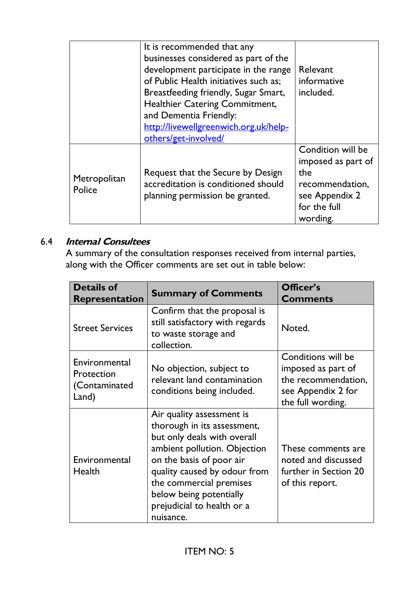|                        | It is recommended that any<br>businesses considered as part of the<br>development participate in the range<br>of Public Health initiatives such as;<br>Breastfeeding friendly, Sugar Smart,<br>Healthier Catering Commitment,<br>and Dementia Friendly:<br>http://livewellgreenwich.org.uk/help-<br>others/get-involved/ | Relevant<br>informative<br>included.                                                                            |
|------------------------|--------------------------------------------------------------------------------------------------------------------------------------------------------------------------------------------------------------------------------------------------------------------------------------------------------------------------|-----------------------------------------------------------------------------------------------------------------|
| Metropolitan<br>Police | Request that the Secure by Design<br>accreditation is conditioned should<br>planning permission be granted.                                                                                                                                                                                                              | Condition will be<br>imposed as part of<br>the<br>recommendation,<br>see Appendix 2<br>for the full<br>wording. |

# 6.4 **Internal Consultees**

A summary of the consultation responses received from internal parties, along with the Officer comments are set out in table below:

| <b>Details of</b><br><b>Representation</b>            | <b>Summary of Comments</b>                                                                                                                                                                                                                                                           | Officer's<br><b>Comments</b>                                                                               |
|-------------------------------------------------------|--------------------------------------------------------------------------------------------------------------------------------------------------------------------------------------------------------------------------------------------------------------------------------------|------------------------------------------------------------------------------------------------------------|
| <b>Street Services</b>                                | Confirm that the proposal is<br>still satisfactory with regards<br>to waste storage and<br>collection.                                                                                                                                                                               | Noted.                                                                                                     |
| Environmental<br>Protection<br>(Contaminated<br>Land) | No objection, subject to<br>relevant land contamination<br>conditions being included.                                                                                                                                                                                                | Conditions will be<br>imposed as part of<br>the recommendation,<br>see Appendix 2 for<br>the full wording. |
| Environmental<br>Health                               | Air quality assessment is<br>thorough in its assessment,<br>but only deals with overall<br>ambient pollution. Objection<br>on the basis of poor air<br>quality caused by odour from<br>the commercial premises<br>below being potentially<br>prejudicial to health or a<br>nuisance. | These comments are<br>noted and discussed<br>further in Section 20<br>of this report.                      |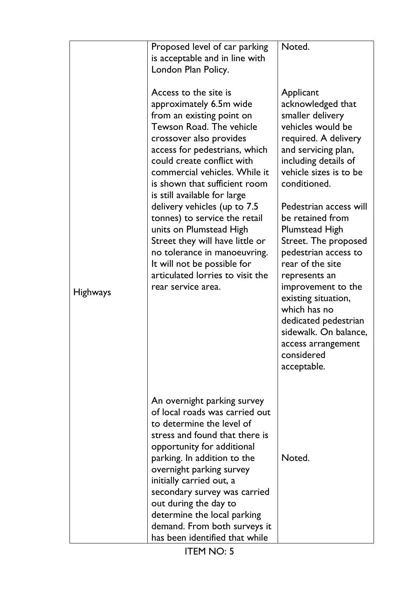|                 | Proposed level of car parking<br>is acceptable and in line with<br>London Plan Policy.                                                                                                                                                                                                                                                                                                                                                                                                                                                                        | Noted.                                                                                                                                                                                                                                                                                                                                                                                                                                                                                                                |
|-----------------|---------------------------------------------------------------------------------------------------------------------------------------------------------------------------------------------------------------------------------------------------------------------------------------------------------------------------------------------------------------------------------------------------------------------------------------------------------------------------------------------------------------------------------------------------------------|-----------------------------------------------------------------------------------------------------------------------------------------------------------------------------------------------------------------------------------------------------------------------------------------------------------------------------------------------------------------------------------------------------------------------------------------------------------------------------------------------------------------------|
| <b>Highways</b> | Access to the site is<br>approximately 6.5m wide<br>from an existing point on<br>Tewson Road. The vehicle<br>crossover also provides<br>access for pedestrians, which<br>could create conflict with<br>commercial vehicles. While it<br>is shown that sufficient room<br>is still available for large<br>delivery vehicles (up to 7.5<br>tonnes) to service the retail<br>units on Plumstead High<br>Street they will have little or<br>no tolerance in manoeuvring.<br>It will not be possible for<br>articulated lorries to visit the<br>rear service area. | Applicant<br>acknowledged that<br>smaller delivery<br>vehicles would be<br>required. A delivery<br>and servicing plan,<br>including details of<br>vehicle sizes is to be<br>conditioned.<br>Pedestrian access will<br>be retained from<br><b>Plumstead High</b><br>Street. The proposed<br>pedestrian access to<br>rear of the site<br>represents an<br>improvement to the<br>existing situation,<br>which has no<br>dedicated pedestrian<br>sidewalk. On balance,<br>access arrangement<br>considered<br>acceptable. |
|                 | An overnight parking survey<br>of local roads was carried out<br>to determine the level of<br>stress and found that there is<br>opportunity for additional<br>parking. In addition to the<br>overnight parking survey<br>initially carried out, a<br>secondary survey was carried<br>out during the day to<br>determine the local parking<br>demand. From both surveys it<br>has been identified that while<br><b>ITEM NO: 5</b>                                                                                                                              | Noted.                                                                                                                                                                                                                                                                                                                                                                                                                                                                                                                |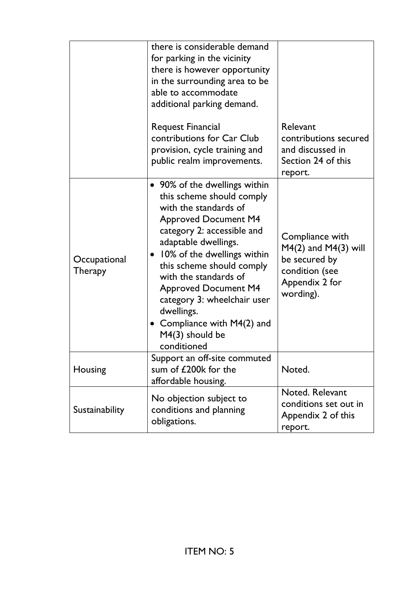|                                | there is considerable demand<br>for parking in the vicinity<br>there is however opportunity<br>in the surrounding area to be<br>able to accommodate<br>additional parking demand.<br><b>Request Financial</b>                                                                                                                                                                                                | Relevant                                                                                                      |
|--------------------------------|--------------------------------------------------------------------------------------------------------------------------------------------------------------------------------------------------------------------------------------------------------------------------------------------------------------------------------------------------------------------------------------------------------------|---------------------------------------------------------------------------------------------------------------|
|                                | contributions for Car Club<br>provision, cycle training and<br>public realm improvements.                                                                                                                                                                                                                                                                                                                    | contributions secured<br>and discussed in<br>Section 24 of this<br>report.                                    |
| Occupational<br><b>Therapy</b> | • 90% of the dwellings within<br>this scheme should comply<br>with the standards of<br><b>Approved Document M4</b><br>category 2: accessible and<br>adaptable dwellings.<br>10% of the dwellings within<br>this scheme should comply<br>with the standards of<br><b>Approved Document M4</b><br>category 3: wheelchair user<br>dwellings.<br>• Compliance with M4(2) and<br>$M4(3)$ should be<br>conditioned | Compliance with<br>$M4(2)$ and $M4(3)$ will<br>be secured by<br>condition (see<br>Appendix 2 for<br>wording). |
| Housing                        | Support an off-site commuted<br>sum of £200k for the<br>affordable housing.                                                                                                                                                                                                                                                                                                                                  | Noted.                                                                                                        |
| Sustainability                 | No objection subject to<br>conditions and planning<br>obligations.                                                                                                                                                                                                                                                                                                                                           | Noted. Relevant<br>conditions set out in<br>Appendix 2 of this<br>report.                                     |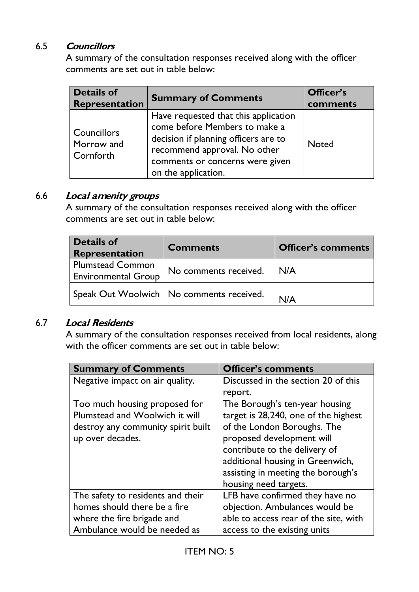#### 6.5 **Councillors**

A summary of the consultation responses received along with the officer comments are set out in table below:

| <b>Details of</b><br><b>Representation</b> | <b>Summary of Comments</b>                                                                                                                                                                              | Officer's<br>comments |
|--------------------------------------------|---------------------------------------------------------------------------------------------------------------------------------------------------------------------------------------------------------|-----------------------|
| Councillors<br>Morrow and<br>Cornforth     | Have requested that this application<br>come before Members to make a<br>decision if planning officers are to<br>recommend approval. No other<br>comments or concerns were given<br>on the application. | <b>Noted</b>          |

#### 6.6 **Local amenity groups**

A summary of the consultation responses received along with the officer comments are set out in table below:

| <b>Details of</b><br>Representation                   | <b>Comments</b>                            | <b>Officer's comments</b> |
|-------------------------------------------------------|--------------------------------------------|---------------------------|
| <b>Plumstead Common</b><br><b>Environmental Group</b> | No comments received.   N/A                |                           |
|                                                       | Speak Out Woolwich   No comments received. |                           |

#### 6.7 **Local Residents**

A summary of the consultation responses received from local residents, along with the officer comments are set out in table below:

| <b>Summary of Comments</b>         | <b>Officer's comments</b>             |
|------------------------------------|---------------------------------------|
| Negative impact on air quality.    | Discussed in the section 20 of this   |
|                                    | report.                               |
| Too much housing proposed for      | The Borough's ten-year housing        |
| Plumstead and Woolwich it will     | target is 28,240, one of the highest  |
| destroy any community spirit built | of the London Boroughs. The           |
| up over decades.                   | proposed development will             |
|                                    | contribute to the delivery of         |
|                                    | additional housing in Greenwich,      |
|                                    | assisting in meeting the borough's    |
|                                    | housing need targets.                 |
| The safety to residents and their  | LFB have confirmed they have no       |
| homes should there be a fire       | objection. Ambulances would be        |
| where the fire brigade and         | able to access rear of the site, with |
| Ambulance would be needed as       | access to the existing units          |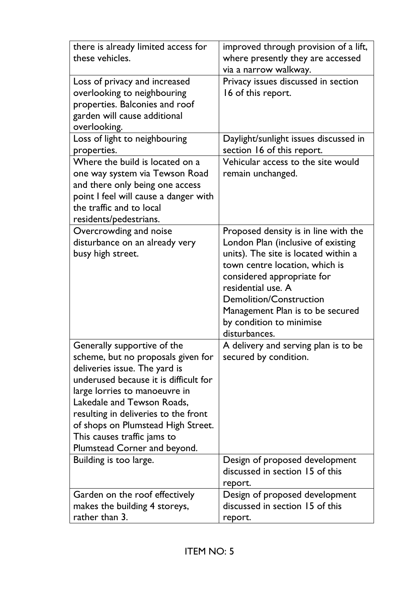| there is already limited access for<br>these vehicles.                                                                                                                                                                                                                                                                                                  | improved through provision of a lift,<br>where presently they are accessed<br>via a narrow walkway.                                                                                                                                                                                                                         |
|---------------------------------------------------------------------------------------------------------------------------------------------------------------------------------------------------------------------------------------------------------------------------------------------------------------------------------------------------------|-----------------------------------------------------------------------------------------------------------------------------------------------------------------------------------------------------------------------------------------------------------------------------------------------------------------------------|
| Loss of privacy and increased<br>overlooking to neighbouring<br>properties. Balconies and roof<br>garden will cause additional<br>overlooking.                                                                                                                                                                                                          | Privacy issues discussed in section<br>16 of this report.                                                                                                                                                                                                                                                                   |
| Loss of light to neighbouring<br>properties.                                                                                                                                                                                                                                                                                                            | Daylight/sunlight issues discussed in<br>section 16 of this report.                                                                                                                                                                                                                                                         |
| Where the build is located on a<br>one way system via Tewson Road<br>and there only being one access<br>point I feel will cause a danger with<br>the traffic and to local<br>residents/pedestrians.                                                                                                                                                     | Vehicular access to the site would<br>remain unchanged.                                                                                                                                                                                                                                                                     |
| Overcrowding and noise<br>disturbance on an already very<br>busy high street.                                                                                                                                                                                                                                                                           | Proposed density is in line with the<br>London Plan (inclusive of existing<br>units). The site is located within a<br>town centre location, which is<br>considered appropriate for<br>residential use. A<br><b>Demolition/Construction</b><br>Management Plan is to be secured<br>by condition to minimise<br>disturbances. |
| Generally supportive of the<br>scheme, but no proposals given for<br>deliveries issue. The yard is<br>underused because it is difficult for<br>large lorries to manoeuvre in<br>Lakedale and Tewson Roads,<br>resulting in deliveries to the front<br>of shops on Plumstead High Street.<br>This causes traffic jams to<br>Plumstead Corner and beyond. | A delivery and serving plan is to be<br>secured by condition.                                                                                                                                                                                                                                                               |
| Building is too large.                                                                                                                                                                                                                                                                                                                                  | Design of proposed development<br>discussed in section 15 of this                                                                                                                                                                                                                                                           |
| Garden on the roof effectively<br>makes the building 4 storeys,<br>rather than 3.                                                                                                                                                                                                                                                                       | report.<br>Design of proposed development<br>discussed in section 15 of this<br>report.                                                                                                                                                                                                                                     |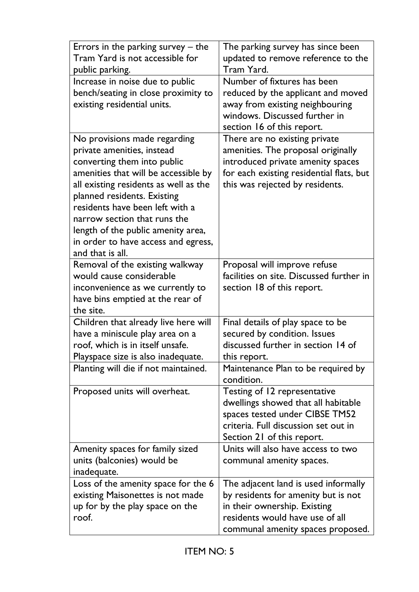| Errors in the parking survey $-$ the<br>Tram Yard is not accessible for<br>public parking.                                                                                                                                                                                                                                                                                    | The parking survey has since been<br>updated to remove reference to the<br>Tram Yard.                                                                                                   |
|-------------------------------------------------------------------------------------------------------------------------------------------------------------------------------------------------------------------------------------------------------------------------------------------------------------------------------------------------------------------------------|-----------------------------------------------------------------------------------------------------------------------------------------------------------------------------------------|
| Increase in noise due to public<br>bench/seating in close proximity to<br>existing residential units.                                                                                                                                                                                                                                                                         | Number of fixtures has been<br>reduced by the applicant and moved<br>away from existing neighbouring<br>windows. Discussed further in<br>section 16 of this report.                     |
| No provisions made regarding<br>private amenities, instead<br>converting them into public<br>amenities that will be accessible by<br>all existing residents as well as the<br>planned residents. Existing<br>residents have been left with a<br>narrow section that runs the<br>length of the public amenity area,<br>in order to have access and egress,<br>and that is all. | There are no existing private<br>amenities. The proposal originally<br>introduced private amenity spaces<br>for each existing residential flats, but<br>this was rejected by residents. |
| Removal of the existing walkway<br>would cause considerable<br>inconvenience as we currently to<br>have bins emptied at the rear of<br>the site.                                                                                                                                                                                                                              | Proposal will improve refuse<br>facilities on site. Discussed further in<br>section 18 of this report.                                                                                  |
| Children that already live here will<br>have a miniscule play area on a<br>roof, which is in itself unsafe.<br>Playspace size is also inadequate.                                                                                                                                                                                                                             | Final details of play space to be<br>secured by condition. Issues<br>discussed further in section 14 of<br>this report.                                                                 |
| Planting will die if not maintained.                                                                                                                                                                                                                                                                                                                                          | Maintenance Plan to be required by<br>condition.                                                                                                                                        |
| Proposed units will overheat.                                                                                                                                                                                                                                                                                                                                                 | Testing of 12 representative<br>dwellings showed that all habitable<br>spaces tested under CIBSE TM52<br>criteria. Full discussion set out in<br>Section 21 of this report.             |
| Amenity spaces for family sized<br>units (balconies) would be<br>inadequate.                                                                                                                                                                                                                                                                                                  | Units will also have access to two<br>communal amenity spaces.                                                                                                                          |
| Loss of the amenity space for the 6<br>existing Maisonettes is not made<br>up for by the play space on the<br>roof.                                                                                                                                                                                                                                                           | The adjacent land is used informally<br>by residents for amenity but is not<br>in their ownership. Existing<br>residents would have use of all<br>communal amenity spaces proposed.     |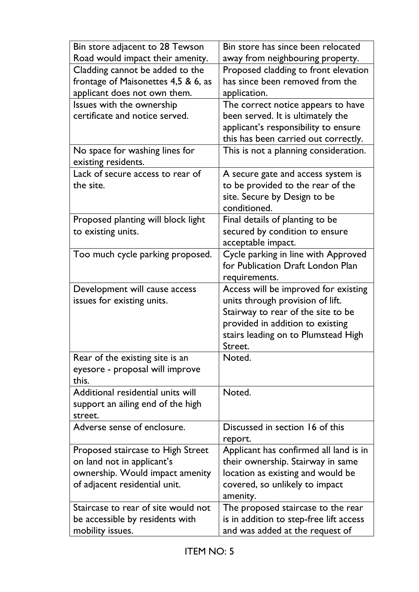| Bin store adjacent to 28 Tewson     | Bin store has since been relocated      |
|-------------------------------------|-----------------------------------------|
| Road would impact their amenity.    | away from neighbouring property.        |
| Cladding cannot be added to the     | Proposed cladding to front elevation    |
| frontage of Maisonettes 4,5 & 6, as | has since been removed from the         |
| applicant does not own them.        | application.                            |
| Issues with the ownership           | The correct notice appears to have      |
| certificate and notice served.      | been served. It is ultimately the       |
|                                     | applicant's responsibility to ensure    |
|                                     | this has been carried out correctly.    |
| No space for washing lines for      | This is not a planning consideration.   |
| existing residents.                 |                                         |
| Lack of secure access to rear of    | A secure gate and access system is      |
| the site.                           | to be provided to the rear of the       |
|                                     | site. Secure by Design to be            |
|                                     | conditioned.                            |
| Proposed planting will block light  | Final details of planting to be         |
| to existing units.                  | secured by condition to ensure          |
|                                     | acceptable impact.                      |
| Too much cycle parking proposed.    | Cycle parking in line with Approved     |
|                                     | for Publication Draft London Plan       |
|                                     | requirements.                           |
| Development will cause access       | Access will be improved for existing    |
| issues for existing units.          | units through provision of lift.        |
|                                     | Stairway to rear of the site to be      |
|                                     | provided in addition to existing        |
|                                     | stairs leading on to Plumstead High     |
|                                     | Street.                                 |
| Rear of the existing site is an     | Noted.                                  |
| eyesore - proposal will improve     |                                         |
| this.                               |                                         |
| Additional residential units will   | Noted.                                  |
| support an ailing end of the high   |                                         |
| street.                             |                                         |
| Adverse sense of enclosure.         | Discussed in section 16 of this         |
|                                     | report.                                 |
| Proposed staircase to High Street   | Applicant has confirmed all land is in  |
| on land not in applicant's          | their ownership. Stairway in same       |
| ownership. Would impact amenity     | location as existing and would be       |
| of adjacent residential unit.       | covered, so unlikely to impact          |
|                                     | amenity.                                |
| Staircase to rear of site would not | The proposed staircase to the rear      |
| be accessible by residents with     | is in addition to step-free lift access |
| mobility issues.                    | and was added at the request of         |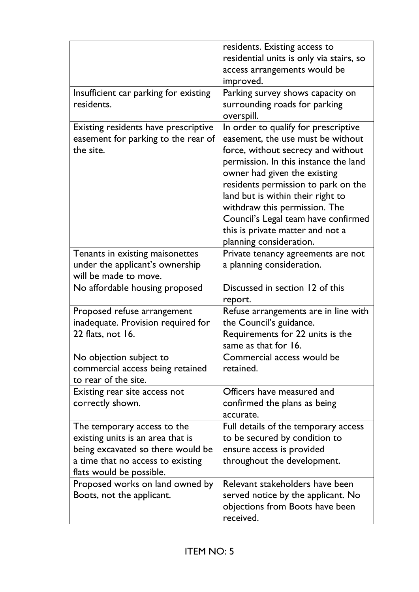|                                                                                                                                                                        | residents. Existing access to<br>residential units is only via stairs, so<br>access arrangements would be<br>improved.                                                                                                                                                                                                                                                                                      |
|------------------------------------------------------------------------------------------------------------------------------------------------------------------------|-------------------------------------------------------------------------------------------------------------------------------------------------------------------------------------------------------------------------------------------------------------------------------------------------------------------------------------------------------------------------------------------------------------|
| Insufficient car parking for existing<br>residents.                                                                                                                    | Parking survey shows capacity on<br>surrounding roads for parking<br>overspill.                                                                                                                                                                                                                                                                                                                             |
| Existing residents have prescriptive<br>easement for parking to the rear of<br>the site.                                                                               | In order to qualify for prescriptive<br>easement, the use must be without<br>force, without secrecy and without<br>permission. In this instance the land<br>owner had given the existing<br>residents permission to park on the<br>land but is within their right to<br>withdraw this permission. The<br>Council's Legal team have confirmed<br>this is private matter and not a<br>planning consideration. |
| Tenants in existing maisonettes<br>under the applicant's ownership<br>will be made to move.                                                                            | Private tenancy agreements are not<br>a planning consideration.                                                                                                                                                                                                                                                                                                                                             |
| No affordable housing proposed                                                                                                                                         | Discussed in section 12 of this<br>report.                                                                                                                                                                                                                                                                                                                                                                  |
| Proposed refuse arrangement<br>inadequate. Provision required for<br>22 flats, not 16.                                                                                 | Refuse arrangements are in line with<br>the Council's guidance.<br>Requirements for 22 units is the<br>same as that for 16.                                                                                                                                                                                                                                                                                 |
| No objection subject to<br>commercial access being retained<br>to rear of the site.                                                                                    | Commercial access would be<br>retained.                                                                                                                                                                                                                                                                                                                                                                     |
| Existing rear site access not<br>correctly shown.                                                                                                                      | Officers have measured and<br>confirmed the plans as being<br>accurate.                                                                                                                                                                                                                                                                                                                                     |
| The temporary access to the<br>existing units is an area that is<br>being excavated so there would be<br>a time that no access to existing<br>flats would be possible. | Full details of the temporary access<br>to be secured by condition to<br>ensure access is provided<br>throughout the development.                                                                                                                                                                                                                                                                           |
| Proposed works on land owned by<br>Boots, not the applicant.                                                                                                           | Relevant stakeholders have been<br>served notice by the applicant. No<br>objections from Boots have been<br>received.                                                                                                                                                                                                                                                                                       |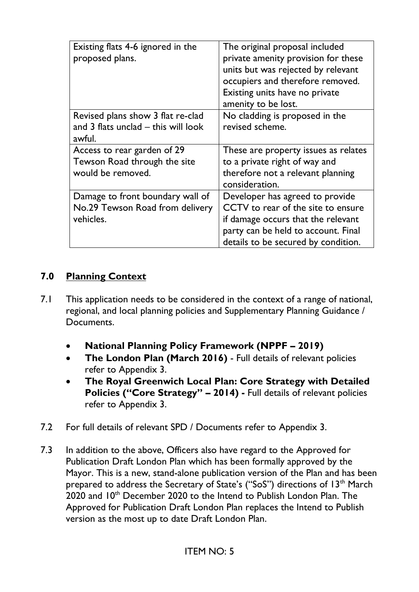| Existing flats 4-6 ignored in the<br>proposed plans.                               | The original proposal included<br>private amenity provision for these<br>units but was rejected by relevant<br>occupiers and therefore removed.<br>Existing units have no private<br>amenity to be lost. |
|------------------------------------------------------------------------------------|----------------------------------------------------------------------------------------------------------------------------------------------------------------------------------------------------------|
| Revised plans show 3 flat re-clad<br>and 3 flats unclad - this will look<br>awful. | No cladding is proposed in the<br>revised scheme.                                                                                                                                                        |
| Access to rear garden of 29<br>Tewson Road through the site<br>would be removed.   | These are property issues as relates<br>to a private right of way and<br>therefore not a relevant planning<br>consideration.                                                                             |
| Damage to front boundary wall of<br>No.29 Tewson Road from delivery<br>vehicles.   | Developer has agreed to provide<br>CCTV to rear of the site to ensure<br>if damage occurs that the relevant<br>party can be held to account. Final<br>details to be secured by condition.                |

### **7.0 Planning Context**

- 7.1 This application needs to be considered in the context of a range of national, regional, and local planning policies and Supplementary Planning Guidance / **Documents** 
	- **National Planning Policy Framework (NPPF – 2019)**
	- **The London Plan (March 2016)** Full details of relevant policies refer to Appendix 3.
	- **The Royal Greenwich Local Plan: Core Strategy with Detailed Policies ("Core Strategy" – 2014) -** Full details of relevant policies refer to Appendix 3.
- 7.2 For full details of relevant SPD / Documents refer to Appendix 3.
- 7.3 In addition to the above, Officers also have regard to the Approved for Publication Draft London Plan which has been formally approved by the Mayor. This is a new, stand-alone publication version of the Plan and has been prepared to address the Secretary of State's ("SoS") directions of 13<sup>th</sup> March 2020 and 10<sup>th</sup> December 2020 to the Intend to Publish London Plan. The Approved for Publication Draft London Plan replaces the Intend to Publish version as the most up to date Draft London Plan.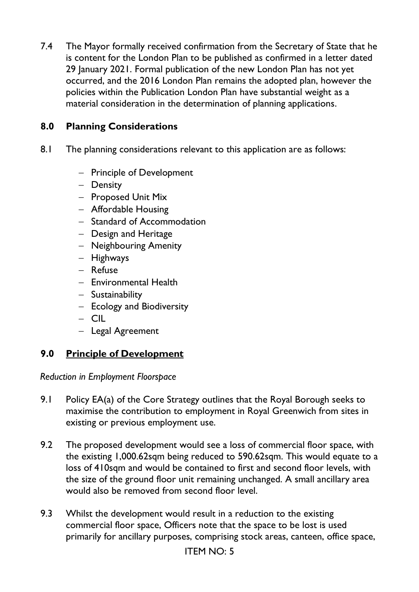7.4 The Mayor formally received confirmation from the Secretary of State that he is content for the London Plan to be published as confirmed in a letter dated 29 January 2021. Formal publication of the new London Plan has not yet occurred, and the 2016 London Plan remains the adopted plan, however the policies within the Publication London Plan have substantial weight as a material consideration in the determination of planning applications.

### **8.0 Planning Considerations**

- 8.1 The planning considerations relevant to this application are as follows:
	- − Principle of Development
	- − Density
	- − Proposed Unit Mix
	- − Affordable Housing
	- − Standard of Accommodation
	- − Design and Heritage
	- − Neighbouring Amenity
	- − Highways
	- − Refuse
	- − Environmental Health
	- − Sustainability
	- − Ecology and Biodiversity
	- − CIL
	- − Legal Agreement

# **9.0 Principle of Development**

*Reduction in Employment Floorspace* 

- 9.1 Policy EA(a) of the Core Strategy outlines that the Royal Borough seeks to maximise the contribution to employment in Royal Greenwich from sites in existing or previous employment use.
- 9.2 The proposed development would see a loss of commercial floor space, with the existing 1,000.62sqm being reduced to 590.62sqm. This would equate to a loss of 410sqm and would be contained to first and second floor levels, with the size of the ground floor unit remaining unchanged. A small ancillary area would also be removed from second floor level.
- 9.3 Whilst the development would result in a reduction to the existing commercial floor space, Officers note that the space to be lost is used primarily for ancillary purposes, comprising stock areas, canteen, office space,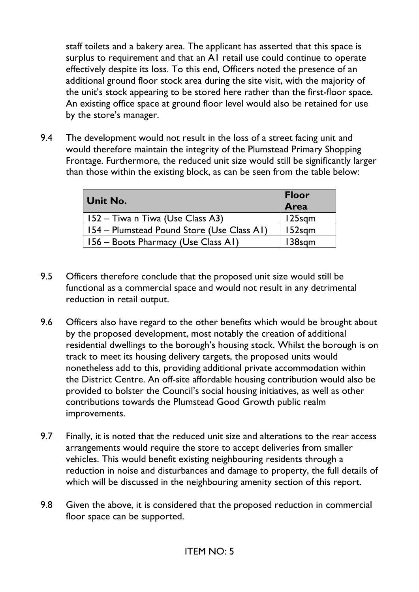staff toilets and a bakery area. The applicant has asserted that this space is surplus to requirement and that an A1 retail use could continue to operate effectively despite its loss. To this end, Officers noted the presence of an additional ground floor stock area during the site visit, with the majority of the unit's stock appearing to be stored here rather than the first-floor space. An existing office space at ground floor level would also be retained for use by the store's manager.

9.4 The development would not result in the loss of a street facing unit and would therefore maintain the integrity of the Plumstead Primary Shopping Frontage. Furthermore, the reduced unit size would still be significantly larger than those within the existing block, as can be seen from the table below:

| <b>Unit No.</b>                            | <b>Floor</b><br>Area |
|--------------------------------------------|----------------------|
| 152 – Tiwa n Tiwa (Use Class A3)           | $125$ sqm            |
| 154 – Plumstead Pound Store (Use Class A1) | $152$ sqm            |
| 156 – Boots Pharmacy (Use Class A1)        | 138sqm               |

- 9.5 Officers therefore conclude that the proposed unit size would still be functional as a commercial space and would not result in any detrimental reduction in retail output.
- 9.6 Officers also have regard to the other benefits which would be brought about by the proposed development, most notably the creation of additional residential dwellings to the borough's housing stock. Whilst the borough is on track to meet its housing delivery targets, the proposed units would nonetheless add to this, providing additional private accommodation within the District Centre. An off-site affordable housing contribution would also be provided to bolster the Council's social housing initiatives, as well as other contributions towards the Plumstead Good Growth public realm improvements.
- 9.7 Finally, it is noted that the reduced unit size and alterations to the rear access arrangements would require the store to accept deliveries from smaller vehicles. This would benefit existing neighbouring residents through a reduction in noise and disturbances and damage to property, the full details of which will be discussed in the neighbouring amenity section of this report.
- 9.8 Given the above, it is considered that the proposed reduction in commercial floor space can be supported.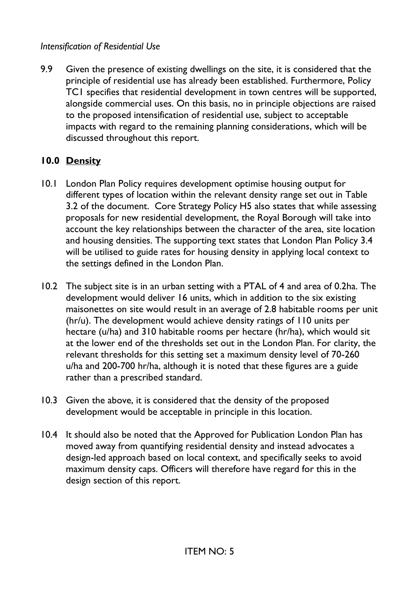### *Intensification of Residential Use*

9.9 Given the presence of existing dwellings on the site, it is considered that the principle of residential use has already been established. Furthermore, Policy TC1 specifies that residential development in town centres will be supported, alongside commercial uses. On this basis, no in principle objections are raised to the proposed intensification of residential use, subject to acceptable impacts with regard to the remaining planning considerations, which will be discussed throughout this report.

## **10.0 Density**

- 10.1 London Plan Policy requires development optimise housing output for different types of location within the relevant density range set out in Table 3.2 of the document. Core Strategy Policy H5 also states that while assessing proposals for new residential development, the Royal Borough will take into account the key relationships between the character of the area, site location and housing densities. The supporting text states that London Plan Policy 3.4 will be utilised to guide rates for housing density in applying local context to the settings defined in the London Plan.
- 10.2 The subject site is in an urban setting with a PTAL of 4 and area of 0.2ha. The development would deliver 16 units, which in addition to the six existing maisonettes on site would result in an average of 2.8 habitable rooms per unit (hr/u). The development would achieve density ratings of 110 units per hectare (u/ha) and 310 habitable rooms per hectare (hr/ha), which would sit at the lower end of the thresholds set out in the London Plan. For clarity, the relevant thresholds for this setting set a maximum density level of 70-260 u/ha and 200-700 hr/ha, although it is noted that these figures are a guide rather than a prescribed standard.
- 10.3 Given the above, it is considered that the density of the proposed development would be acceptable in principle in this location.
- 10.4 It should also be noted that the Approved for Publication London Plan has moved away from quantifying residential density and instead advocates a design-led approach based on local context, and specifically seeks to avoid maximum density caps. Officers will therefore have regard for this in the design section of this report.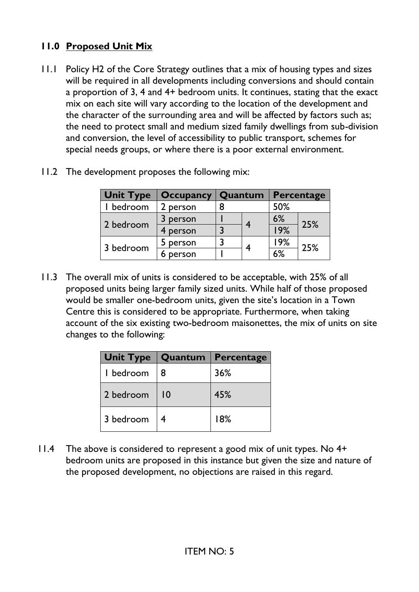# **11.0 Proposed Unit Mix**

11.1 Policy H2 of the Core Strategy outlines that a mix of housing types and sizes will be required in all developments including conversions and should contain a proportion of 3, 4 and 4+ bedroom units. It continues, stating that the exact mix on each site will vary according to the location of the development and the character of the surrounding area and will be affected by factors such as; the need to protect small and medium sized family dwellings from sub-division and conversion, the level of accessibility to public transport, schemes for special needs groups, or where there is a poor external environment.

| <b>Unit Type</b> | <b>Occupancy</b> | Quantum |   | Percentage |     |
|------------------|------------------|---------|---|------------|-----|
| bedroom          | 2 person         | 8       |   | 50%        |     |
| 2 bedroom        | person           |         |   | 6%         | 25% |
|                  | person           |         |   | 19%        |     |
| 3 bedroom        | person           |         |   | 9% ا       | 25% |
|                  | person           |         | 4 | 6%         |     |

11.2 The development proposes the following mix:

11.3 The overall mix of units is considered to be acceptable, with 25% of all proposed units being larger family sized units. While half of those proposed would be smaller one-bedroom units, given the site's location in a Town Centre this is considered to be appropriate. Furthermore, when taking account of the six existing two-bedroom maisonettes, the mix of units on site changes to the following:

| <b>Unit Type</b> |                | Quantum Percentage |
|------------------|----------------|--------------------|
| I bedroom        | 8              | 36%                |
| 2 bedroom        | $\overline{0}$ | 45%                |
| 3 bedroom        | 4              | 18%                |

11.4 The above is considered to represent a good mix of unit types. No 4+ bedroom units are proposed in this instance but given the size and nature of the proposed development, no objections are raised in this regard.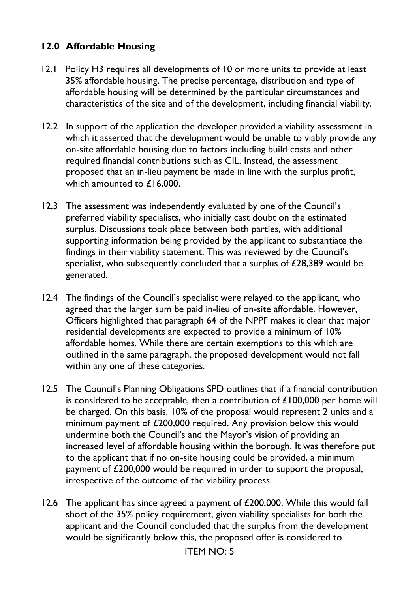### **12.0 Affordable Housing**

- 12.1 Policy H3 requires all developments of 10 or more units to provide at least 35% affordable housing. The precise percentage, distribution and type of affordable housing will be determined by the particular circumstances and characteristics of the site and of the development, including financial viability.
- 12.2 In support of the application the developer provided a viability assessment in which it asserted that the development would be unable to viably provide any on-site affordable housing due to factors including build costs and other required financial contributions such as CIL. Instead, the assessment proposed that an in-lieu payment be made in line with the surplus profit, which amounted to £16,000.
- 12.3 The assessment was independently evaluated by one of the Council's preferred viability specialists, who initially cast doubt on the estimated surplus. Discussions took place between both parties, with additional supporting information being provided by the applicant to substantiate the findings in their viability statement. This was reviewed by the Council's specialist, who subsequently concluded that a surplus of £28,389 would be generated.
- 12.4 The findings of the Council's specialist were relayed to the applicant, who agreed that the larger sum be paid in-lieu of on-site affordable. However, Officers highlighted that paragraph 64 of the NPPF makes it clear that major residential developments are expected to provide a minimum of 10% affordable homes. While there are certain exemptions to this which are outlined in the same paragraph, the proposed development would not fall within any one of these categories.
- 12.5 The Council's Planning Obligations SPD outlines that if a financial contribution is considered to be acceptable, then a contribution of  $£100,000$  per home will be charged. On this basis, 10% of the proposal would represent 2 units and a minimum payment of £200,000 required. Any provision below this would undermine both the Council's and the Mayor's vision of providing an increased level of affordable housing within the borough. It was therefore put to the applicant that if no on-site housing could be provided, a minimum payment of £200,000 would be required in order to support the proposal, irrespective of the outcome of the viability process.
- 12.6 The applicant has since agreed a payment of £200,000. While this would fall short of the 35% policy requirement, given viability specialists for both the applicant and the Council concluded that the surplus from the development would be significantly below this, the proposed offer is considered to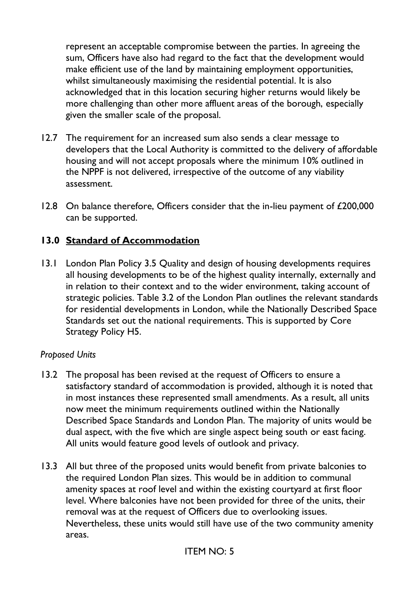represent an acceptable compromise between the parties. In agreeing the sum, Officers have also had regard to the fact that the development would make efficient use of the land by maintaining employment opportunities, whilst simultaneously maximising the residential potential. It is also acknowledged that in this location securing higher returns would likely be more challenging than other more affluent areas of the borough, especially given the smaller scale of the proposal.

- 12.7 The requirement for an increased sum also sends a clear message to developers that the Local Authority is committed to the delivery of affordable housing and will not accept proposals where the minimum 10% outlined in the NPPF is not delivered, irrespective of the outcome of any viability assessment.
- 12.8 On balance therefore, Officers consider that the in-lieu payment of £200,000 can be supported.

### **13.0 Standard of Accommodation**

13.1 London Plan Policy 3.5 Quality and design of housing developments requires all housing developments to be of the highest quality internally, externally and in relation to their context and to the wider environment, taking account of strategic policies. Table 3.2 of the London Plan outlines the relevant standards for residential developments in London, while the Nationally Described Space Standards set out the national requirements. This is supported by Core Strategy Policy H5.

#### *Proposed Units*

- 13.2 The proposal has been revised at the request of Officers to ensure a satisfactory standard of accommodation is provided, although it is noted that in most instances these represented small amendments. As a result, all units now meet the minimum requirements outlined within the Nationally Described Space Standards and London Plan. The majority of units would be dual aspect, with the five which are single aspect being south or east facing. All units would feature good levels of outlook and privacy.
- 13.3 All but three of the proposed units would benefit from private balconies to the required London Plan sizes. This would be in addition to communal amenity spaces at roof level and within the existing courtyard at first floor level. Where balconies have not been provided for three of the units, their removal was at the request of Officers due to overlooking issues. Nevertheless, these units would still have use of the two community amenity areas.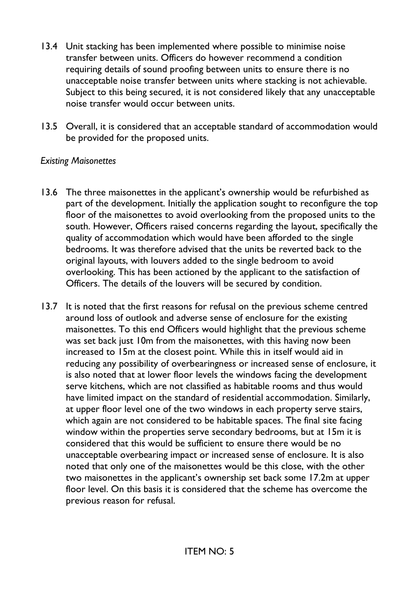- 13.4 Unit stacking has been implemented where possible to minimise noise transfer between units. Officers do however recommend a condition requiring details of sound proofing between units to ensure there is no unacceptable noise transfer between units where stacking is not achievable. Subject to this being secured, it is not considered likely that any unacceptable noise transfer would occur between units.
- 13.5 Overall, it is considered that an acceptable standard of accommodation would be provided for the proposed units.

#### *Existing Maisonettes*

- 13.6 The three maisonettes in the applicant's ownership would be refurbished as part of the development. Initially the application sought to reconfigure the top floor of the maisonettes to avoid overlooking from the proposed units to the south. However, Officers raised concerns regarding the layout, specifically the quality of accommodation which would have been afforded to the single bedrooms. It was therefore advised that the units be reverted back to the original layouts, with louvers added to the single bedroom to avoid overlooking. This has been actioned by the applicant to the satisfaction of Officers. The details of the louvers will be secured by condition.
- 13.7 It is noted that the first reasons for refusal on the previous scheme centred around loss of outlook and adverse sense of enclosure for the existing maisonettes. To this end Officers would highlight that the previous scheme was set back just 10m from the maisonettes, with this having now been increased to 15m at the closest point. While this in itself would aid in reducing any possibility of overbearingness or increased sense of enclosure, it is also noted that at lower floor levels the windows facing the development serve kitchens, which are not classified as habitable rooms and thus would have limited impact on the standard of residential accommodation. Similarly, at upper floor level one of the two windows in each property serve stairs, which again are not considered to be habitable spaces. The final site facing window within the properties serve secondary bedrooms, but at 15m it is considered that this would be sufficient to ensure there would be no unacceptable overbearing impact or increased sense of enclosure. It is also noted that only one of the maisonettes would be this close, with the other two maisonettes in the applicant's ownership set back some 17.2m at upper floor level. On this basis it is considered that the scheme has overcome the previous reason for refusal.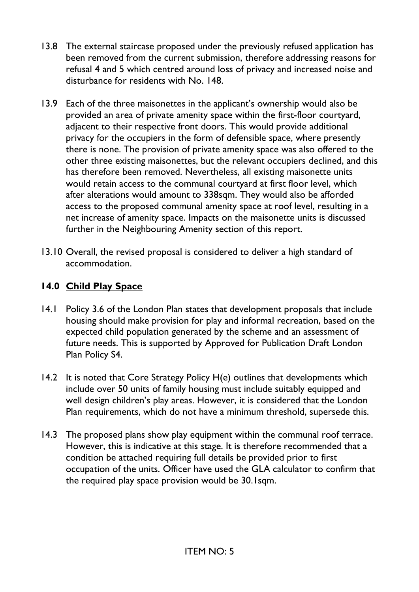- 13.8 The external staircase proposed under the previously refused application has been removed from the current submission, therefore addressing reasons for refusal 4 and 5 which centred around loss of privacy and increased noise and disturbance for residents with No. 148.
- 13.9 Each of the three maisonettes in the applicant's ownership would also be provided an area of private amenity space within the first-floor courtyard, adjacent to their respective front doors. This would provide additional privacy for the occupiers in the form of defensible space, where presently there is none. The provision of private amenity space was also offered to the other three existing maisonettes, but the relevant occupiers declined, and this has therefore been removed. Nevertheless, all existing maisonette units would retain access to the communal courtyard at first floor level, which after alterations would amount to 338sqm. They would also be afforded access to the proposed communal amenity space at roof level, resulting in a net increase of amenity space. Impacts on the maisonette units is discussed further in the Neighbouring Amenity section of this report.
- 13.10 Overall, the revised proposal is considered to deliver a high standard of accommodation.

# **14.0 Child Play Space**

- 14.1 Policy 3.6 of the London Plan states that development proposals that include housing should make provision for play and informal recreation, based on the expected child population generated by the scheme and an assessment of future needs. This is supported by Approved for Publication Draft London Plan Policy S4.
- 14.2 It is noted that Core Strategy Policy H(e) outlines that developments which include over 50 units of family housing must include suitably equipped and well design children's play areas. However, it is considered that the London Plan requirements, which do not have a minimum threshold, supersede this.
- 14.3 The proposed plans show play equipment within the communal roof terrace. However, this is indicative at this stage. It is therefore recommended that a condition be attached requiring full details be provided prior to first occupation of the units. Officer have used the GLA calculator to confirm that the required play space provision would be 30.1sqm.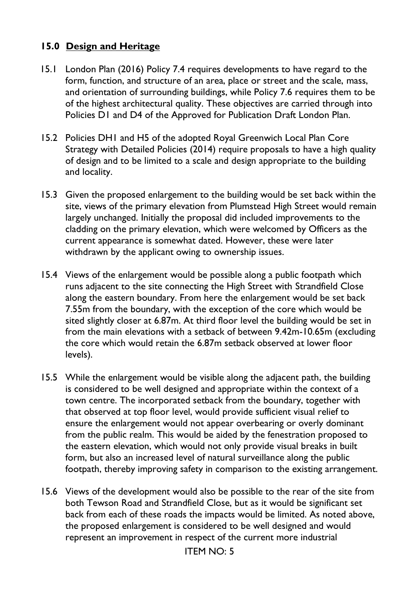## **15.0 Design and Heritage**

- 15.1 London Plan (2016) Policy 7.4 requires developments to have regard to the form, function, and structure of an area, place or street and the scale, mass, and orientation of surrounding buildings, while Policy 7.6 requires them to be of the highest architectural quality. These objectives are carried through into Policies D1 and D4 of the Approved for Publication Draft London Plan.
- 15.2 Policies DH1 and H5 of the adopted Royal Greenwich Local Plan Core Strategy with Detailed Policies (2014) require proposals to have a high quality of design and to be limited to a scale and design appropriate to the building and locality.
- 15.3 Given the proposed enlargement to the building would be set back within the site, views of the primary elevation from Plumstead High Street would remain largely unchanged. Initially the proposal did included improvements to the cladding on the primary elevation, which were welcomed by Officers as the current appearance is somewhat dated. However, these were later withdrawn by the applicant owing to ownership issues.
- 15.4 Views of the enlargement would be possible along a public footpath which runs adjacent to the site connecting the High Street with Strandfield Close along the eastern boundary. From here the enlargement would be set back 7.55m from the boundary, with the exception of the core which would be sited slightly closer at 6.87m. At third floor level the building would be set in from the main elevations with a setback of between 9.42m-10.65m (excluding the core which would retain the 6.87m setback observed at lower floor levels).
- 15.5 While the enlargement would be visible along the adjacent path, the building is considered to be well designed and appropriate within the context of a town centre. The incorporated setback from the boundary, together with that observed at top floor level, would provide sufficient visual relief to ensure the enlargement would not appear overbearing or overly dominant from the public realm. This would be aided by the fenestration proposed to the eastern elevation, which would not only provide visual breaks in built form, but also an increased level of natural surveillance along the public footpath, thereby improving safety in comparison to the existing arrangement.
- 15.6 Views of the development would also be possible to the rear of the site from both Tewson Road and Strandfield Close, but as it would be significant set back from each of these roads the impacts would be limited. As noted above, the proposed enlargement is considered to be well designed and would represent an improvement in respect of the current more industrial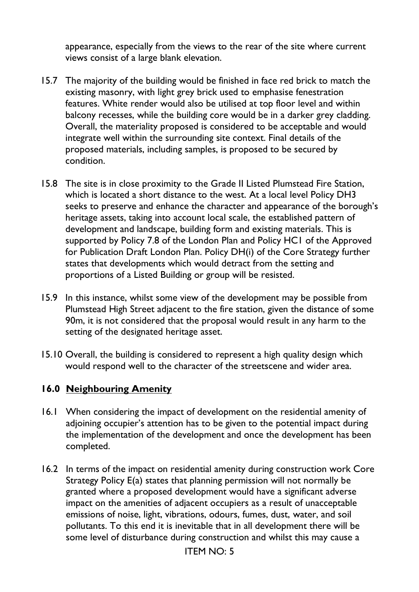appearance, especially from the views to the rear of the site where current views consist of a large blank elevation.

- 15.7 The majority of the building would be finished in face red brick to match the existing masonry, with light grey brick used to emphasise fenestration features. White render would also be utilised at top floor level and within balcony recesses, while the building core would be in a darker grey cladding. Overall, the materiality proposed is considered to be acceptable and would integrate well within the surrounding site context. Final details of the proposed materials, including samples, is proposed to be secured by condition.
- 15.8 The site is in close proximity to the Grade II Listed Plumstead Fire Station, which is located a short distance to the west. At a local level Policy DH3 seeks to preserve and enhance the character and appearance of the borough's heritage assets, taking into account local scale, the established pattern of development and landscape, building form and existing materials. This is supported by Policy 7.8 of the London Plan and Policy HC1 of the Approved for Publication Draft London Plan. Policy DH(i) of the Core Strategy further states that developments which would detract from the setting and proportions of a Listed Building or group will be resisted.
- 15.9 In this instance, whilst some view of the development may be possible from Plumstead High Street adjacent to the fire station, given the distance of some 90m, it is not considered that the proposal would result in any harm to the setting of the designated heritage asset.
- 15.10 Overall, the building is considered to represent a high quality design which would respond well to the character of the streetscene and wider area.

### **16.0 Neighbouring Amenity**

- 16.1 When considering the impact of development on the residential amenity of adjoining occupier's attention has to be given to the potential impact during the implementation of the development and once the development has been completed.
- 16.2 In terms of the impact on residential amenity during construction work Core Strategy Policy E(a) states that planning permission will not normally be granted where a proposed development would have a significant adverse impact on the amenities of adjacent occupiers as a result of unacceptable emissions of noise, light, vibrations, odours, fumes, dust, water, and soil pollutants. To this end it is inevitable that in all development there will be some level of disturbance during construction and whilst this may cause a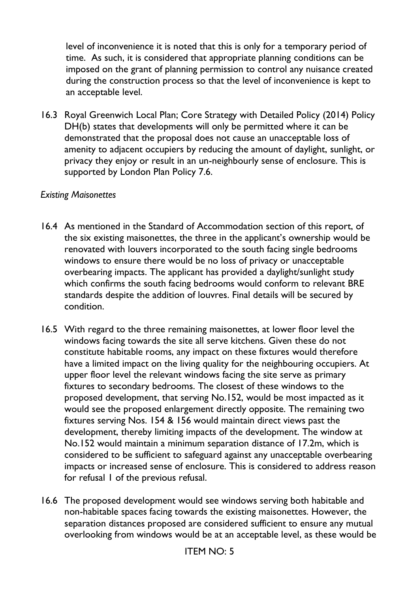level of inconvenience it is noted that this is only for a temporary period of time. As such, it is considered that appropriate planning conditions can be imposed on the grant of planning permission to control any nuisance created during the construction process so that the level of inconvenience is kept to an acceptable level.

16.3 Royal Greenwich Local Plan; Core Strategy with Detailed Policy (2014) Policy DH(b) states that developments will only be permitted where it can be demonstrated that the proposal does not cause an unacceptable loss of amenity to adjacent occupiers by reducing the amount of daylight, sunlight, or privacy they enjoy or result in an un-neighbourly sense of enclosure. This is supported by London Plan Policy 7.6.

### *Existing Maisonettes*

- 16.4 As mentioned in the Standard of Accommodation section of this report, of the six existing maisonettes, the three in the applicant's ownership would be renovated with louvers incorporated to the south facing single bedrooms windows to ensure there would be no loss of privacy or unacceptable overbearing impacts. The applicant has provided a daylight/sunlight study which confirms the south facing bedrooms would conform to relevant BRE standards despite the addition of louvres. Final details will be secured by condition.
- 16.5 With regard to the three remaining maisonettes, at lower floor level the windows facing towards the site all serve kitchens. Given these do not constitute habitable rooms, any impact on these fixtures would therefore have a limited impact on the living quality for the neighbouring occupiers. At upper floor level the relevant windows facing the site serve as primary fixtures to secondary bedrooms. The closest of these windows to the proposed development, that serving No.152, would be most impacted as it would see the proposed enlargement directly opposite. The remaining two fixtures serving Nos. 154 & 156 would maintain direct views past the development, thereby limiting impacts of the development. The window at No.152 would maintain a minimum separation distance of 17.2m, which is considered to be sufficient to safeguard against any unacceptable overbearing impacts or increased sense of enclosure. This is considered to address reason for refusal 1 of the previous refusal.
- 16.6 The proposed development would see windows serving both habitable and non-habitable spaces facing towards the existing maisonettes. However, the separation distances proposed are considered sufficient to ensure any mutual overlooking from windows would be at an acceptable level, as these would be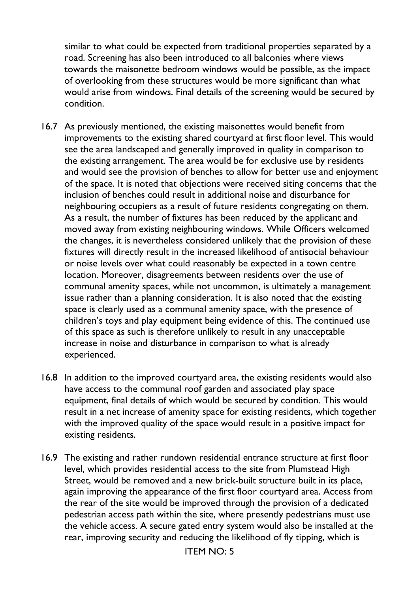similar to what could be expected from traditional properties separated by a road. Screening has also been introduced to all balconies where views towards the maisonette bedroom windows would be possible, as the impact of overlooking from these structures would be more significant than what would arise from windows. Final details of the screening would be secured by condition.

- 16.7 As previously mentioned, the existing maisonettes would benefit from improvements to the existing shared courtyard at first floor level. This would see the area landscaped and generally improved in quality in comparison to the existing arrangement. The area would be for exclusive use by residents and would see the provision of benches to allow for better use and enjoyment of the space. It is noted that objections were received siting concerns that the inclusion of benches could result in additional noise and disturbance for neighbouring occupiers as a result of future residents congregating on them. As a result, the number of fixtures has been reduced by the applicant and moved away from existing neighbouring windows. While Officers welcomed the changes, it is nevertheless considered unlikely that the provision of these fixtures will directly result in the increased likelihood of antisocial behaviour or noise levels over what could reasonably be expected in a town centre location. Moreover, disagreements between residents over the use of communal amenity spaces, while not uncommon, is ultimately a management issue rather than a planning consideration. It is also noted that the existing space is clearly used as a communal amenity space, with the presence of children's toys and play equipment being evidence of this. The continued use of this space as such is therefore unlikely to result in any unacceptable increase in noise and disturbance in comparison to what is already experienced.
- 16.8 In addition to the improved courtyard area, the existing residents would also have access to the communal roof garden and associated play space equipment, final details of which would be secured by condition. This would result in a net increase of amenity space for existing residents, which together with the improved quality of the space would result in a positive impact for existing residents.
- 16.9 The existing and rather rundown residential entrance structure at first floor level, which provides residential access to the site from Plumstead High Street, would be removed and a new brick-built structure built in its place, again improving the appearance of the first floor courtyard area. Access from the rear of the site would be improved through the provision of a dedicated pedestrian access path within the site, where presently pedestrians must use the vehicle access. A secure gated entry system would also be installed at the rear, improving security and reducing the likelihood of fly tipping, which is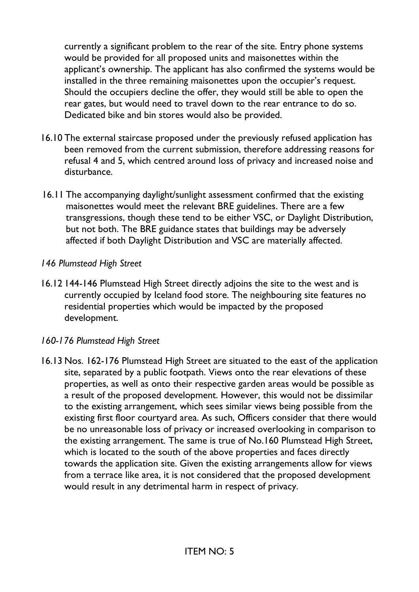currently a significant problem to the rear of the site. Entry phone systems would be provided for all proposed units and maisonettes within the applicant's ownership. The applicant has also confirmed the systems would be installed in the three remaining maisonettes upon the occupier's request. Should the occupiers decline the offer, they would still be able to open the rear gates, but would need to travel down to the rear entrance to do so. Dedicated bike and bin stores would also be provided.

- 16.10 The external staircase proposed under the previously refused application has been removed from the current submission, therefore addressing reasons for refusal 4 and 5, which centred around loss of privacy and increased noise and disturbance.
- 16.11 The accompanying daylight/sunlight assessment confirmed that the existing maisonettes would meet the relevant BRE guidelines. There are a few transgressions, though these tend to be either VSC, or Daylight Distribution, but not both. The BRE guidance states that buildings may be adversely affected if both Daylight Distribution and VSC are materially affected.

#### *146 Plumstead High Street*

16.12 144-146 Plumstead High Street directly adjoins the site to the west and is currently occupied by Iceland food store. The neighbouring site features no residential properties which would be impacted by the proposed development.

#### *160-176 Plumstead High Street*

16.13 Nos. 162-176 Plumstead High Street are situated to the east of the application site, separated by a public footpath. Views onto the rear elevations of these properties, as well as onto their respective garden areas would be possible as a result of the proposed development. However, this would not be dissimilar to the existing arrangement, which sees similar views being possible from the existing first floor courtyard area. As such, Officers consider that there would be no unreasonable loss of privacy or increased overlooking in comparison to the existing arrangement. The same is true of No.160 Plumstead High Street, which is located to the south of the above properties and faces directly towards the application site. Given the existing arrangements allow for views from a terrace like area, it is not considered that the proposed development would result in any detrimental harm in respect of privacy.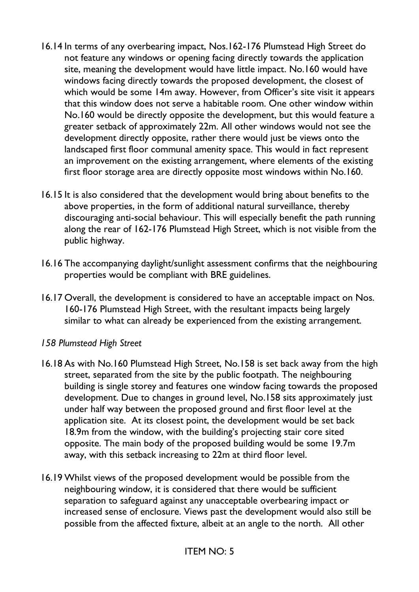- 16.14 In terms of any overbearing impact, Nos.162-176 Plumstead High Street do not feature any windows or opening facing directly towards the application site, meaning the development would have little impact. No.160 would have windows facing directly towards the proposed development, the closest of which would be some 14m away. However, from Officer's site visit it appears that this window does not serve a habitable room. One other window within No.160 would be directly opposite the development, but this would feature a greater setback of approximately 22m. All other windows would not see the development directly opposite, rather there would just be views onto the landscaped first floor communal amenity space. This would in fact represent an improvement on the existing arrangement, where elements of the existing first floor storage area are directly opposite most windows within No.160.
- 16.15 It is also considered that the development would bring about benefits to the above properties, in the form of additional natural surveillance, thereby discouraging anti-social behaviour. This will especially benefit the path running along the rear of 162-176 Plumstead High Street, which is not visible from the public highway.
- 16.16 The accompanying daylight/sunlight assessment confirms that the neighbouring properties would be compliant with BRE guidelines.
- 16.17 Overall, the development is considered to have an acceptable impact on Nos. 160-176 Plumstead High Street, with the resultant impacts being largely similar to what can already be experienced from the existing arrangement.

#### *158 Plumstead High Street*

- 16.18 As with No.160 Plumstead High Street, No.158 is set back away from the high street, separated from the site by the public footpath. The neighbouring building is single storey and features one window facing towards the proposed development. Due to changes in ground level, No.158 sits approximately just under half way between the proposed ground and first floor level at the application site. At its closest point, the development would be set back 18.9m from the window, with the building's projecting stair core sited opposite. The main body of the proposed building would be some 19.7m away, with this setback increasing to 22m at third floor level.
- 16.19 Whilst views of the proposed development would be possible from the neighbouring window, it is considered that there would be sufficient separation to safeguard against any unacceptable overbearing impact or increased sense of enclosure. Views past the development would also still be possible from the affected fixture, albeit at an angle to the north. All other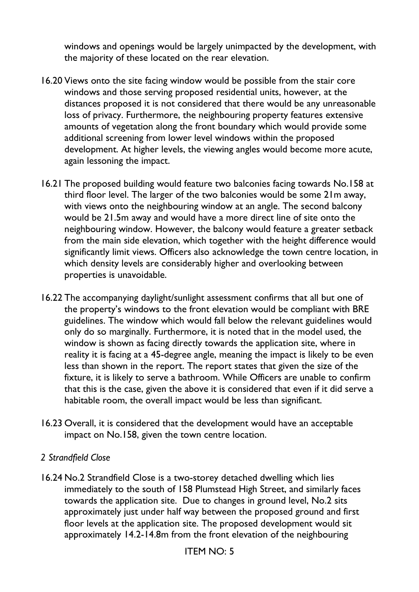windows and openings would be largely unimpacted by the development, with the majority of these located on the rear elevation.

- 16.20 Views onto the site facing window would be possible from the stair core windows and those serving proposed residential units, however, at the distances proposed it is not considered that there would be any unreasonable loss of privacy. Furthermore, the neighbouring property features extensive amounts of vegetation along the front boundary which would provide some additional screening from lower level windows within the proposed development. At higher levels, the viewing angles would become more acute, again lessoning the impact.
- 16.21 The proposed building would feature two balconies facing towards No.158 at third floor level. The larger of the two balconies would be some 21m away, with views onto the neighbouring window at an angle. The second balcony would be 21.5m away and would have a more direct line of site onto the neighbouring window. However, the balcony would feature a greater setback from the main side elevation, which together with the height difference would significantly limit views. Officers also acknowledge the town centre location, in which density levels are considerably higher and overlooking between properties is unavoidable.
- 16.22 The accompanying daylight/sunlight assessment confirms that all but one of the property's windows to the front elevation would be compliant with BRE guidelines. The window which would fall below the relevant guidelines would only do so marginally. Furthermore, it is noted that in the model used, the window is shown as facing directly towards the application site, where in reality it is facing at a 45-degree angle, meaning the impact is likely to be even less than shown in the report. The report states that given the size of the fixture, it is likely to serve a bathroom. While Officers are unable to confirm that this is the case, given the above it is considered that even if it did serve a habitable room, the overall impact would be less than significant.
- 16.23 Overall, it is considered that the development would have an acceptable impact on No.158, given the town centre location.

#### *2 Strandfield Close*

16.24 No.2 Strandfield Close is a two-storey detached dwelling which lies immediately to the south of 158 Plumstead High Street, and similarly faces towards the application site. Due to changes in ground level, No.2 sits approximately just under half way between the proposed ground and first floor levels at the application site. The proposed development would sit approximately 14.2-14.8m from the front elevation of the neighbouring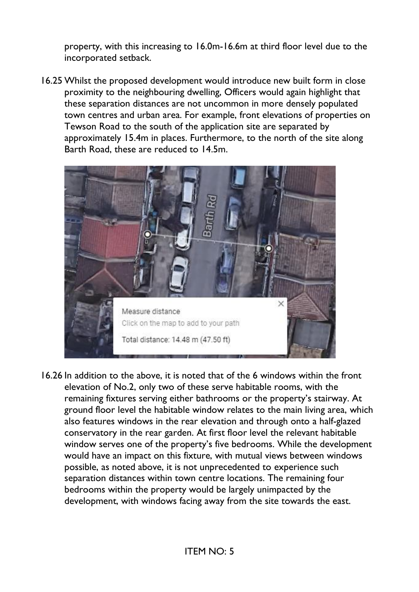property, with this increasing to 16.0m-16.6m at third floor level due to the incorporated setback.

16.25 Whilst the proposed development would introduce new built form in close proximity to the neighbouring dwelling, Officers would again highlight that these separation distances are not uncommon in more densely populated town centres and urban area. For example, front elevations of properties on Tewson Road to the south of the application site are separated by approximately 15.4m in places. Furthermore, to the north of the site along Barth Road, these are reduced to 14.5m.



16.26 In addition to the above, it is noted that of the 6 windows within the front elevation of No.2, only two of these serve habitable rooms, with the remaining fixtures serving either bathrooms or the property's stairway. At ground floor level the habitable window relates to the main living area, which also features windows in the rear elevation and through onto a half-glazed conservatory in the rear garden. At first floor level the relevant habitable window serves one of the property's five bedrooms. While the development would have an impact on this fixture, with mutual views between windows possible, as noted above, it is not unprecedented to experience such separation distances within town centre locations. The remaining four bedrooms within the property would be largely unimpacted by the development, with windows facing away from the site towards the east.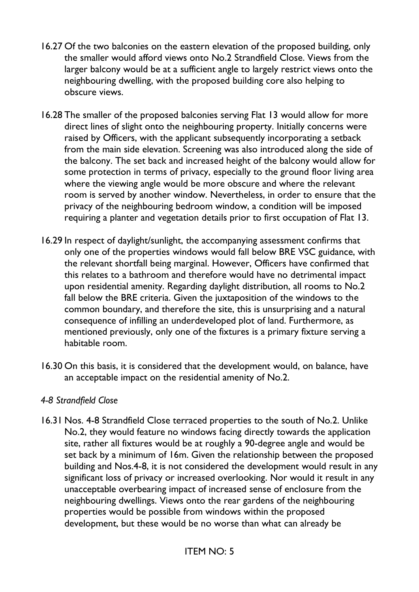- 16.27 Of the two balconies on the eastern elevation of the proposed building, only the smaller would afford views onto No.2 Strandfield Close. Views from the larger balcony would be at a sufficient angle to largely restrict views onto the neighbouring dwelling, with the proposed building core also helping to obscure views.
- 16.28 The smaller of the proposed balconies serving Flat 13 would allow for more direct lines of slight onto the neighbouring property. Initially concerns were raised by Officers, with the applicant subsequently incorporating a setback from the main side elevation. Screening was also introduced along the side of the balcony. The set back and increased height of the balcony would allow for some protection in terms of privacy, especially to the ground floor living area where the viewing angle would be more obscure and where the relevant room is served by another window. Nevertheless, in order to ensure that the privacy of the neighbouring bedroom window, a condition will be imposed requiring a planter and vegetation details prior to first occupation of Flat 13.
- 16.29 In respect of daylight/sunlight, the accompanying assessment confirms that only one of the properties windows would fall below BRE VSC guidance, with the relevant shortfall being marginal. However, Officers have confirmed that this relates to a bathroom and therefore would have no detrimental impact upon residential amenity. Regarding daylight distribution, all rooms to No.2 fall below the BRE criteria. Given the juxtaposition of the windows to the common boundary, and therefore the site, this is unsurprising and a natural consequence of infilling an underdeveloped plot of land. Furthermore, as mentioned previously, only one of the fixtures is a primary fixture serving a habitable room.
- 16.30 On this basis, it is considered that the development would, on balance, have an acceptable impact on the residential amenity of No.2.

#### *4-8 Strandfield Close*

16.31 Nos. 4-8 Strandfield Close terraced properties to the south of No.2. Unlike No.2, they would feature no windows facing directly towards the application site, rather all fixtures would be at roughly a 90-degree angle and would be set back by a minimum of 16m. Given the relationship between the proposed building and Nos.4-8, it is not considered the development would result in any significant loss of privacy or increased overlooking. Nor would it result in any unacceptable overbearing impact of increased sense of enclosure from the neighbouring dwellings. Views onto the rear gardens of the neighbouring properties would be possible from windows within the proposed development, but these would be no worse than what can already be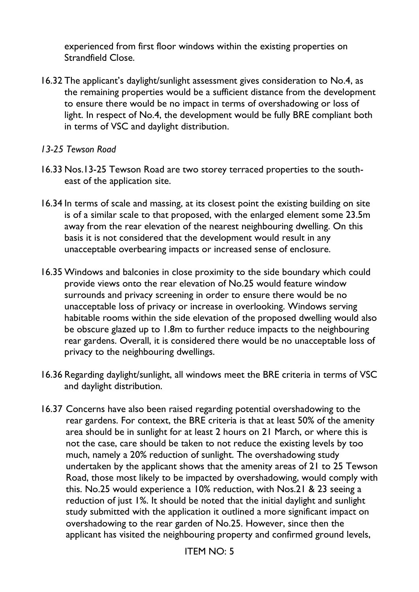experienced from first floor windows within the existing properties on Strandfield Close.

- 16.32 The applicant's daylight/sunlight assessment gives consideration to No.4, as the remaining properties would be a sufficient distance from the development to ensure there would be no impact in terms of overshadowing or loss of light. In respect of No.4, the development would be fully BRE compliant both in terms of VSC and daylight distribution.
- *13-25 Tewson Road*
- 16.33 Nos.13-25 Tewson Road are two storey terraced properties to the southeast of the application site.
- 16.34 In terms of scale and massing, at its closest point the existing building on site is of a similar scale to that proposed, with the enlarged element some 23.5m away from the rear elevation of the nearest neighbouring dwelling. On this basis it is not considered that the development would result in any unacceptable overbearing impacts or increased sense of enclosure.
- 16.35 Windows and balconies in close proximity to the side boundary which could provide views onto the rear elevation of No.25 would feature window surrounds and privacy screening in order to ensure there would be no unacceptable loss of privacy or increase in overlooking. Windows serving habitable rooms within the side elevation of the proposed dwelling would also be obscure glazed up to 1.8m to further reduce impacts to the neighbouring rear gardens. Overall, it is considered there would be no unacceptable loss of privacy to the neighbouring dwellings.
- 16.36 Regarding daylight/sunlight, all windows meet the BRE criteria in terms of VSC and daylight distribution.
- 16.37 Concerns have also been raised regarding potential overshadowing to the rear gardens. For context, the BRE criteria is that at least 50% of the amenity area should be in sunlight for at least 2 hours on 21 March, or where this is not the case, care should be taken to not reduce the existing levels by too much, namely a 20% reduction of sunlight. The overshadowing study undertaken by the applicant shows that the amenity areas of 21 to 25 Tewson Road, those most likely to be impacted by overshadowing, would comply with this. No.25 would experience a 10% reduction, with Nos.21 & 23 seeing a reduction of just 1%. It should be noted that the initial daylight and sunlight study submitted with the application it outlined a more significant impact on overshadowing to the rear garden of No.25. However, since then the applicant has visited the neighbouring property and confirmed ground levels,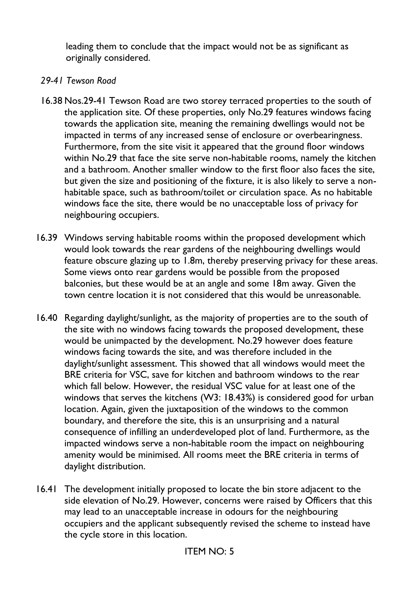leading them to conclude that the impact would not be as significant as originally considered.

#### *29-41 Tewson Road*

- 16.38 Nos.29-41 Tewson Road are two storey terraced properties to the south of the application site. Of these properties, only No.29 features windows facing towards the application site, meaning the remaining dwellings would not be impacted in terms of any increased sense of enclosure or overbearingness. Furthermore, from the site visit it appeared that the ground floor windows within No.29 that face the site serve non-habitable rooms, namely the kitchen and a bathroom. Another smaller window to the first floor also faces the site, but given the size and positioning of the fixture, it is also likely to serve a nonhabitable space, such as bathroom/toilet or circulation space. As no habitable windows face the site, there would be no unacceptable loss of privacy for neighbouring occupiers.
- 16.39 Windows serving habitable rooms within the proposed development which would look towards the rear gardens of the neighbouring dwellings would feature obscure glazing up to 1.8m, thereby preserving privacy for these areas. Some views onto rear gardens would be possible from the proposed balconies, but these would be at an angle and some 18m away. Given the town centre location it is not considered that this would be unreasonable.
- 16.40 Regarding daylight/sunlight, as the majority of properties are to the south of the site with no windows facing towards the proposed development, these would be unimpacted by the development. No.29 however does feature windows facing towards the site, and was therefore included in the daylight/sunlight assessment. This showed that all windows would meet the BRE criteria for VSC, save for kitchen and bathroom windows to the rear which fall below. However, the residual VSC value for at least one of the windows that serves the kitchens (W3: 18.43%) is considered good for urban location. Again, given the juxtaposition of the windows to the common boundary, and therefore the site, this is an unsurprising and a natural consequence of infilling an underdeveloped plot of land. Furthermore, as the impacted windows serve a non-habitable room the impact on neighbouring amenity would be minimised. All rooms meet the BRE criteria in terms of daylight distribution.
- 16.41 The development initially proposed to locate the bin store adjacent to the side elevation of No.29. However, concerns were raised by Officers that this may lead to an unacceptable increase in odours for the neighbouring occupiers and the applicant subsequently revised the scheme to instead have the cycle store in this location.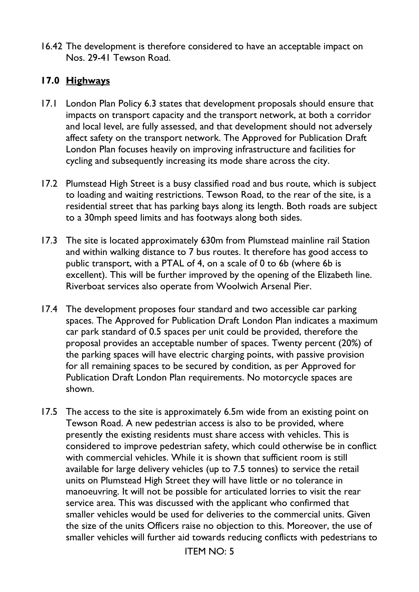16.42 The development is therefore considered to have an acceptable impact on Nos. 29-41 Tewson Road.

### **17.0 Highways**

- 17.1 London Plan Policy 6.3 states that development proposals should ensure that impacts on transport capacity and the transport network, at both a corridor and local level, are fully assessed, and that development should not adversely affect safety on the transport network. The Approved for Publication Draft London Plan focuses heavily on improving infrastructure and facilities for cycling and subsequently increasing its mode share across the city.
- 17.2 Plumstead High Street is a busy classified road and bus route, which is subject to loading and waiting restrictions. Tewson Road, to the rear of the site, is a residential street that has parking bays along its length. Both roads are subject to a 30mph speed limits and has footways along both sides.
- 17.3 The site is located approximately 630m from Plumstead mainline rail Station and within walking distance to 7 bus routes. It therefore has good access to public transport, with a PTAL of 4, on a scale of 0 to 6b (where 6b is excellent). This will be further improved by the opening of the Elizabeth line. Riverboat services also operate from Woolwich Arsenal Pier.
- 17.4 The development proposes four standard and two accessible car parking spaces. The Approved for Publication Draft London Plan indicates a maximum car park standard of 0.5 spaces per unit could be provided, therefore the proposal provides an acceptable number of spaces. Twenty percent (20%) of the parking spaces will have electric charging points, with passive provision for all remaining spaces to be secured by condition, as per Approved for Publication Draft London Plan requirements. No motorcycle spaces are shown.
- 17.5 The access to the site is approximately 6.5m wide from an existing point on Tewson Road. A new pedestrian access is also to be provided, where presently the existing residents must share access with vehicles. This is considered to improve pedestrian safety, which could otherwise be in conflict with commercial vehicles. While it is shown that sufficient room is still available for large delivery vehicles (up to 7.5 tonnes) to service the retail units on Plumstead High Street they will have little or no tolerance in manoeuvring. It will not be possible for articulated lorries to visit the rear service area. This was discussed with the applicant who confirmed that smaller vehicles would be used for deliveries to the commercial units. Given the size of the units Officers raise no objection to this. Moreover, the use of smaller vehicles will further aid towards reducing conflicts with pedestrians to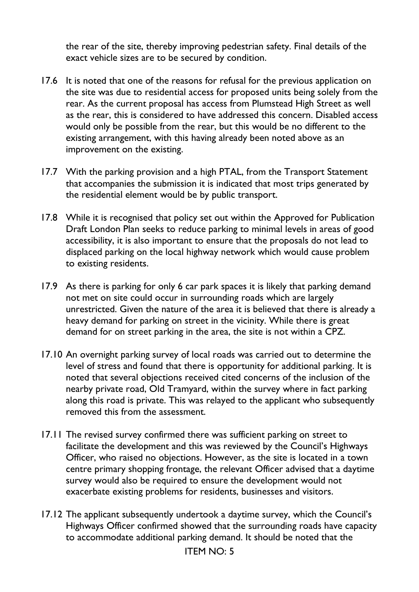the rear of the site, thereby improving pedestrian safety. Final details of the exact vehicle sizes are to be secured by condition.

- 17.6 It is noted that one of the reasons for refusal for the previous application on the site was due to residential access for proposed units being solely from the rear. As the current proposal has access from Plumstead High Street as well as the rear, this is considered to have addressed this concern. Disabled access would only be possible from the rear, but this would be no different to the existing arrangement, with this having already been noted above as an improvement on the existing.
- 17.7 With the parking provision and a high PTAL, from the Transport Statement that accompanies the submission it is indicated that most trips generated by the residential element would be by public transport.
- 17.8 While it is recognised that policy set out within the Approved for Publication Draft London Plan seeks to reduce parking to minimal levels in areas of good accessibility, it is also important to ensure that the proposals do not lead to displaced parking on the local highway network which would cause problem to existing residents.
- 17.9 As there is parking for only 6 car park spaces it is likely that parking demand not met on site could occur in surrounding roads which are largely unrestricted. Given the nature of the area it is believed that there is already a heavy demand for parking on street in the vicinity. While there is great demand for on street parking in the area, the site is not within a CPZ.
- 17.10 An overnight parking survey of local roads was carried out to determine the level of stress and found that there is opportunity for additional parking. It is noted that several objections received cited concerns of the inclusion of the nearby private road, Old Tramyard, within the survey where in fact parking along this road is private. This was relayed to the applicant who subsequently removed this from the assessment.
- 17.11 The revised survey confirmed there was sufficient parking on street to facilitate the development and this was reviewed by the Council's Highways Officer, who raised no objections. However, as the site is located in a town centre primary shopping frontage, the relevant Officer advised that a daytime survey would also be required to ensure the development would not exacerbate existing problems for residents, businesses and visitors.
- 17.12 The applicant subsequently undertook a daytime survey, which the Council's Highways Officer confirmed showed that the surrounding roads have capacity to accommodate additional parking demand. It should be noted that the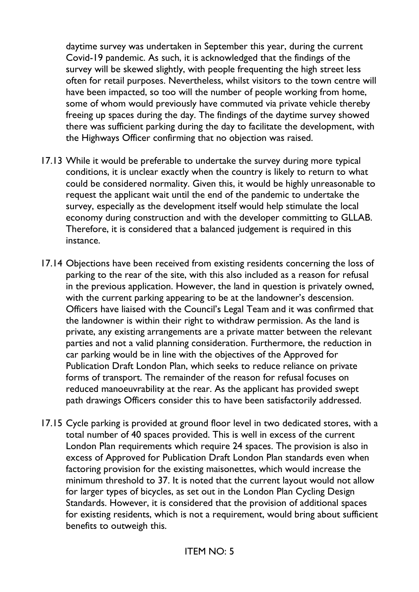daytime survey was undertaken in September this year, during the current Covid-19 pandemic. As such, it is acknowledged that the findings of the survey will be skewed slightly, with people frequenting the high street less often for retail purposes. Nevertheless, whilst visitors to the town centre will have been impacted, so too will the number of people working from home, some of whom would previously have commuted via private vehicle thereby freeing up spaces during the day. The findings of the daytime survey showed there was sufficient parking during the day to facilitate the development, with the Highways Officer confirming that no objection was raised.

- 17.13 While it would be preferable to undertake the survey during more typical conditions, it is unclear exactly when the country is likely to return to what could be considered normality. Given this, it would be highly unreasonable to request the applicant wait until the end of the pandemic to undertake the survey, especially as the development itself would help stimulate the local economy during construction and with the developer committing to GLLAB. Therefore, it is considered that a balanced judgement is required in this instance.
- 17.14 Objections have been received from existing residents concerning the loss of parking to the rear of the site, with this also included as a reason for refusal in the previous application. However, the land in question is privately owned, with the current parking appearing to be at the landowner's descension. Officers have liaised with the Council's Legal Team and it was confirmed that the landowner is within their right to withdraw permission. As the land is private, any existing arrangements are a private matter between the relevant parties and not a valid planning consideration. Furthermore, the reduction in car parking would be in line with the objectives of the Approved for Publication Draft London Plan, which seeks to reduce reliance on private forms of transport. The remainder of the reason for refusal focuses on reduced manoeuvrability at the rear. As the applicant has provided swept path drawings Officers consider this to have been satisfactorily addressed.
- 17.15 Cycle parking is provided at ground floor level in two dedicated stores, with a total number of 40 spaces provided. This is well in excess of the current London Plan requirements which require 24 spaces. The provision is also in excess of Approved for Publication Draft London Plan standards even when factoring provision for the existing maisonettes, which would increase the minimum threshold to 37. It is noted that the current layout would not allow for larger types of bicycles, as set out in the London Plan Cycling Design Standards. However, it is considered that the provision of additional spaces for existing residents, which is not a requirement, would bring about sufficient benefits to outweigh this.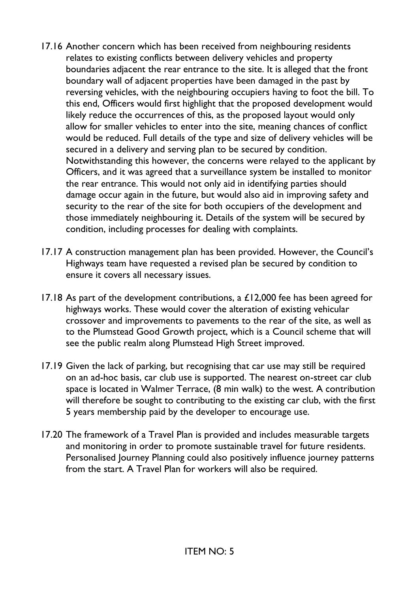- 17.16 Another concern which has been received from neighbouring residents relates to existing conflicts between delivery vehicles and property boundaries adjacent the rear entrance to the site. It is alleged that the front boundary wall of adjacent properties have been damaged in the past by reversing vehicles, with the neighbouring occupiers having to foot the bill. To this end, Officers would first highlight that the proposed development would likely reduce the occurrences of this, as the proposed layout would only allow for smaller vehicles to enter into the site, meaning chances of conflict would be reduced. Full details of the type and size of delivery vehicles will be secured in a delivery and serving plan to be secured by condition. Notwithstanding this however, the concerns were relayed to the applicant by Officers, and it was agreed that a surveillance system be installed to monitor the rear entrance. This would not only aid in identifying parties should damage occur again in the future, but would also aid in improving safety and security to the rear of the site for both occupiers of the development and those immediately neighbouring it. Details of the system will be secured by condition, including processes for dealing with complaints.
- 17.17 A construction management plan has been provided. However, the Council's Highways team have requested a revised plan be secured by condition to ensure it covers all necessary issues.
- 17.18 As part of the development contributions, a £12,000 fee has been agreed for highways works. These would cover the alteration of existing vehicular crossover and improvements to pavements to the rear of the site, as well as to the Plumstead Good Growth project, which is a Council scheme that will see the public realm along Plumstead High Street improved.
- 17.19 Given the lack of parking, but recognising that car use may still be required on an ad-hoc basis, car club use is supported. The nearest on-street car club space is located in Walmer Terrace, (8 min walk) to the west. A contribution will therefore be sought to contributing to the existing car club, with the first 5 years membership paid by the developer to encourage use.
- 17.20 The framework of a Travel Plan is provided and includes measurable targets and monitoring in order to promote sustainable travel for future residents. Personalised Journey Planning could also positively influence journey patterns from the start. A Travel Plan for workers will also be required.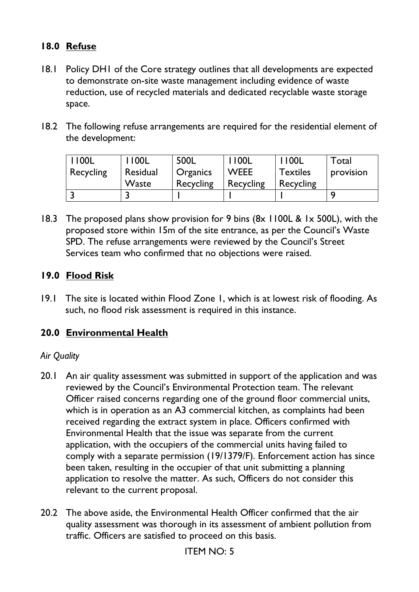# **18.0 Refuse**

- 18.1 Policy DH1 of the Core strategy outlines that all developments are expected to demonstrate on-site waste management including evidence of waste reduction, use of recycled materials and dedicated recyclable waste storage space.
- 18.2 The following refuse arrangements are required for the residential element of the development:

| '100L     | 1100L    | 500L            | $\frac{1}{2}$   00L | 1100L           | Total     |
|-----------|----------|-----------------|---------------------|-----------------|-----------|
| Recycling | Residual | <b>Organics</b> | <b>WEEE</b>         | <b>Textiles</b> | provision |
|           | Waste    | Recycling       | Recycling           | Recycling       |           |
|           |          |                 |                     |                 |           |

18.3 The proposed plans show provision for 9 bins (8x 1100L & 1x 500L), with the proposed store within 15m of the site entrance, as per the Council's Waste SPD. The refuse arrangements were reviewed by the Council's Street Services team who confirmed that no objections were raised.

### **19.0 Flood Risk**

19.1 The site is located within Flood Zone 1, which is at lowest risk of flooding. As such, no flood risk assessment is required in this instance.

### **20.0 Environmental Health**

#### *Air Quality*

- 20.1 An air quality assessment was submitted in support of the application and was reviewed by the Council's Environmental Protection team. The relevant Officer raised concerns regarding one of the ground floor commercial units, which is in operation as an A3 commercial kitchen, as complaints had been received regarding the extract system in place. Officers confirmed with Environmental Health that the issue was separate from the current application, with the occupiers of the commercial units having failed to comply with a separate permission (19/1379/F). Enforcement action has since been taken, resulting in the occupier of that unit submitting a planning application to resolve the matter. As such, Officers do not consider this relevant to the current proposal.
- 20.2 The above aside, the Environmental Health Officer confirmed that the air quality assessment was thorough in its assessment of ambient pollution from traffic. Officers are satisfied to proceed on this basis.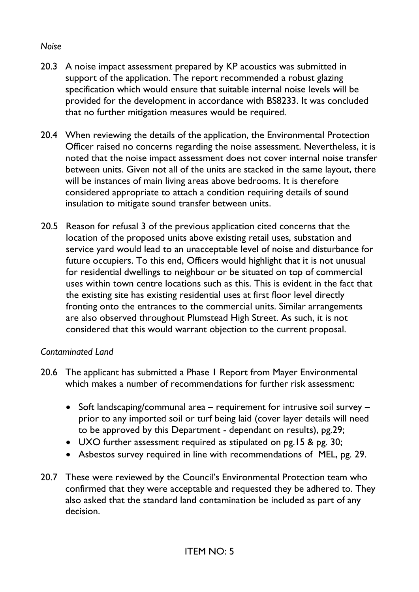#### *Noise*

- 20.3 A noise impact assessment prepared by KP acoustics was submitted in support of the application. The report recommended a robust glazing specification which would ensure that suitable internal noise levels will be provided for the development in accordance with BS8233. It was concluded that no further mitigation measures would be required.
- 20.4 When reviewing the details of the application, the Environmental Protection Officer raised no concerns regarding the noise assessment. Nevertheless, it is noted that the noise impact assessment does not cover internal noise transfer between units. Given not all of the units are stacked in the same layout, there will be instances of main living areas above bedrooms. It is therefore considered appropriate to attach a condition requiring details of sound insulation to mitigate sound transfer between units.
- 20.5 Reason for refusal 3 of the previous application cited concerns that the location of the proposed units above existing retail uses, substation and service yard would lead to an unacceptable level of noise and disturbance for future occupiers. To this end, Officers would highlight that it is not unusual for residential dwellings to neighbour or be situated on top of commercial uses within town centre locations such as this. This is evident in the fact that the existing site has existing residential uses at first floor level directly fronting onto the entrances to the commercial units. Similar arrangements are also observed throughout Plumstead High Street. As such, it is not considered that this would warrant objection to the current proposal.

### *Contaminated Land*

- 20.6 The applicant has submitted a Phase 1 Report from Mayer Environmental which makes a number of recommendations for further risk assessment:
	- Soft landscaping/communal area requirement for intrusive soil survey prior to any imported soil or turf being laid (cover layer details will need to be approved by this Department - dependant on results), pg.29;
	- UXO further assessment required as stipulated on pg.15 & pg. 30;
	- Asbestos survey required in line with recommendations of MEL, pg. 29.
- 20.7 These were reviewed by the Council's Environmental Protection team who confirmed that they were acceptable and requested they be adhered to. They also asked that the standard land contamination be included as part of any decision.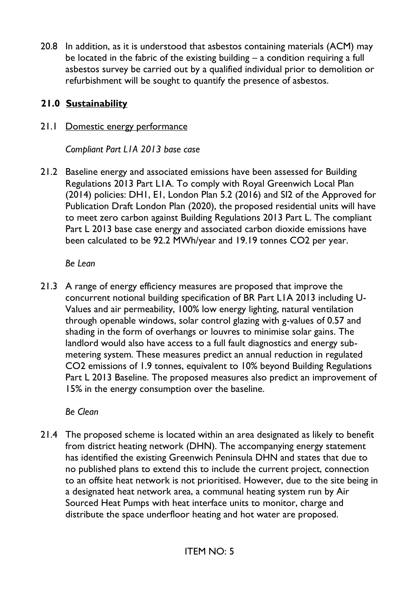20.8 In addition, as it is understood that asbestos containing materials (ACM) may be located in the fabric of the existing building – a condition requiring a full asbestos survey be carried out by a qualified individual prior to demolition or refurbishment will be sought to quantify the presence of asbestos.

## **21.0 Sustainability**

# 21.1 Domestic energy performance

*Compliant Part L1A 2013 base case* 

21.2 Baseline energy and associated emissions have been assessed for Building Regulations 2013 Part L1A. To comply with Royal Greenwich Local Plan (2014) policies: DH1, E1, London Plan 5.2 (2016) and SI2 of the Approved for Publication Draft London Plan (2020), the proposed residential units will have to meet zero carbon against Building Regulations 2013 Part L. The compliant Part L 2013 base case energy and associated carbon dioxide emissions have been calculated to be 92.2 MWh/year and 19.19 tonnes CO2 per year.

*Be Lean*

21.3 A range of energy efficiency measures are proposed that improve the concurrent notional building specification of BR Part L1A 2013 including U-Values and air permeability, 100% low energy lighting, natural ventilation through openable windows, solar control glazing with g-values of 0.57 and shading in the form of overhangs or louvres to minimise solar gains. The landlord would also have access to a full fault diagnostics and energy submetering system. These measures predict an annual reduction in regulated CO2 emissions of 1.9 tonnes, equivalent to 10% beyond Building Regulations Part L 2013 Baseline. The proposed measures also predict an improvement of 15% in the energy consumption over the baseline.

*Be Clean*

21.4 The proposed scheme is located within an area designated as likely to benefit from district heating network (DHN). The accompanying energy statement has identified the existing Greenwich Peninsula DHN and states that due to no published plans to extend this to include the current project, connection to an offsite heat network is not prioritised. However, due to the site being in a designated heat network area, a communal heating system run by Air Sourced Heat Pumps with heat interface units to monitor, charge and distribute the space underfloor heating and hot water are proposed.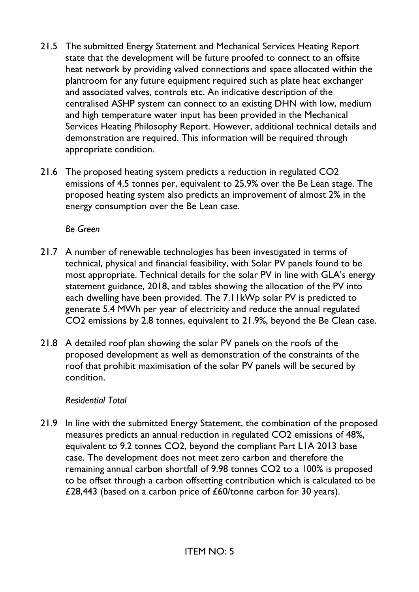- 21.5 The submitted Energy Statement and Mechanical Services Heating Report state that the development will be future proofed to connect to an offsite heat network by providing valved connections and space allocated within the plantroom for any future equipment required such as plate heat exchanger and associated valves, controls etc. An indicative description of the centralised ASHP system can connect to an existing DHN with low, medium and high temperature water input has been provided in the Mechanical Services Heating Philosophy Report. However, additional technical details and demonstration are required. This information will be required through appropriate condition.
- 21.6 The proposed heating system predicts a reduction in regulated CO2 emissions of 4.5 tonnes per, equivalent to 25.9% over the Be Lean stage. The proposed heating system also predicts an improvement of almost 2% in the energy consumption over the Be Lean case.

*Be Green*

- 21.7 A number of renewable technologies has been investigated in terms of technical, physical and financial feasibility, with Solar PV panels found to be most appropriate. Technical details for the solar PV in line with GLA's energy statement guidance, 2018, and tables showing the allocation of the PV into each dwelling have been provided. The 7.11kWp solar PV is predicted to generate 5.4 MWh per year of electricity and reduce the annual regulated CO2 emissions by 2.8 tonnes, equivalent to 21.9%, beyond the Be Clean case.
- 21.8 A detailed roof plan showing the solar PV panels on the roofs of the proposed development as well as demonstration of the constraints of the roof that prohibit maximisation of the solar PV panels will be secured by condition.

#### *Residential Total*

21.9 In line with the submitted Energy Statement, the combination of the proposed measures predicts an annual reduction in regulated CO2 emissions of 48%, equivalent to 9.2 tonnes CO2, beyond the compliant Part L1A 2013 base case. The development does not meet zero carbon and therefore the remaining annual carbon shortfall of 9.98 tonnes CO2 to a 100% is proposed to be offset through a carbon offsetting contribution which is calculated to be £28,443 (based on a carbon price of £60/tonne carbon for 30 years).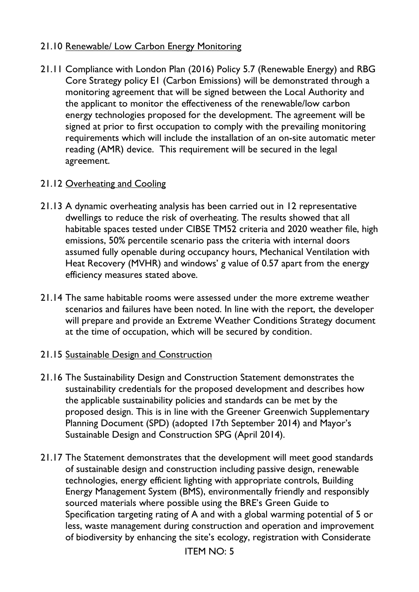### 21.10 Renewable/ Low Carbon Energy Monitoring

21.11 Compliance with London Plan (2016) Policy 5.7 (Renewable Energy) and RBG Core Strategy policy E1 (Carbon Emissions) will be demonstrated through a monitoring agreement that will be signed between the Local Authority and the applicant to monitor the effectiveness of the renewable/low carbon energy technologies proposed for the development. The agreement will be signed at prior to first occupation to comply with the prevailing monitoring requirements which will include the installation of an on-site automatic meter reading (AMR) device. This requirement will be secured in the legal agreement.

### 21.12 Overheating and Cooling

- 21.13 A dynamic overheating analysis has been carried out in 12 representative dwellings to reduce the risk of overheating. The results showed that all habitable spaces tested under CIBSE TM52 criteria and 2020 weather file, high emissions, 50% percentile scenario pass the criteria with internal doors assumed fully openable during occupancy hours, Mechanical Ventilation with Heat Recovery (MVHR) and windows' g value of 0.57 apart from the energy efficiency measures stated above.
- 21.14 The same habitable rooms were assessed under the more extreme weather scenarios and failures have been noted. In line with the report, the developer will prepare and provide an Extreme Weather Conditions Strategy document at the time of occupation, which will be secured by condition.

#### 21.15 Sustainable Design and Construction

- 21.16 The Sustainability Design and Construction Statement demonstrates the sustainability credentials for the proposed development and describes how the applicable sustainability policies and standards can be met by the proposed design. This is in line with the Greener Greenwich Supplementary Planning Document (SPD) (adopted 17th September 2014) and Mayor's Sustainable Design and Construction SPG (April 2014).
- 21.17 The Statement demonstrates that the development will meet good standards of sustainable design and construction including passive design, renewable technologies, energy efficient lighting with appropriate controls, Building Energy Management System (BMS), environmentally friendly and responsibly sourced materials where possible using the BRE's Green Guide to Specification targeting rating of A and with a global warming potential of 5 or less, waste management during construction and operation and improvement of biodiversity by enhancing the site's ecology, registration with Considerate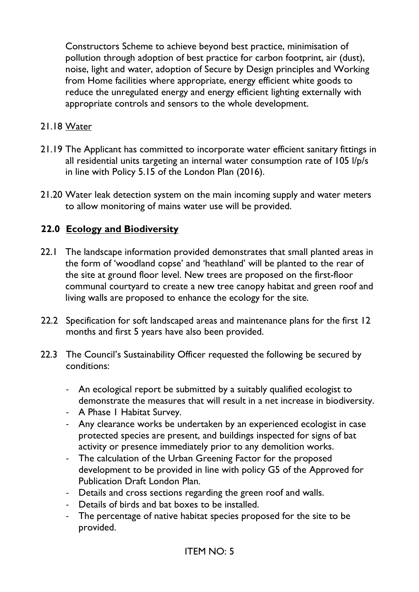Constructors Scheme to achieve beyond best practice, minimisation of pollution through adoption of best practice for carbon footprint, air (dust), noise, light and water, adoption of Secure by Design principles and Working from Home facilities where appropriate, energy efficient white goods to reduce the unregulated energy and energy efficient lighting externally with appropriate controls and sensors to the whole development.

### 21.18 Water

- 21.19 The Applicant has committed to incorporate water efficient sanitary fittings in all residential units targeting an internal water consumption rate of 105 l/p/s in line with Policy 5.15 of the London Plan (2016).
- 21.20 Water leak detection system on the main incoming supply and water meters to allow monitoring of mains water use will be provided.

### **22.0 Ecology and Biodiversity**

- 22.1 The landscape information provided demonstrates that small planted areas in the form of 'woodland copse' and 'heathland' will be planted to the rear of the site at ground floor level. New trees are proposed on the first-floor communal courtyard to create a new tree canopy habitat and green roof and living walls are proposed to enhance the ecology for the site.
- 22.2 Specification for soft landscaped areas and maintenance plans for the first 12 months and first 5 years have also been provided.
- 22.3 The Council's Sustainability Officer requested the following be secured by conditions:
	- An ecological report be submitted by a suitably qualified ecologist to demonstrate the measures that will result in a net increase in biodiversity.
	- A Phase I Habitat Survey.
	- Any clearance works be undertaken by an experienced ecologist in case protected species are present, and buildings inspected for signs of bat activity or presence immediately prior to any demolition works.
	- The calculation of the Urban Greening Factor for the proposed development to be provided in line with policy G5 of the Approved for Publication Draft London Plan.
	- Details and cross sections regarding the green roof and walls.
	- Details of birds and bat boxes to be installed.
	- The percentage of native habitat species proposed for the site to be provided.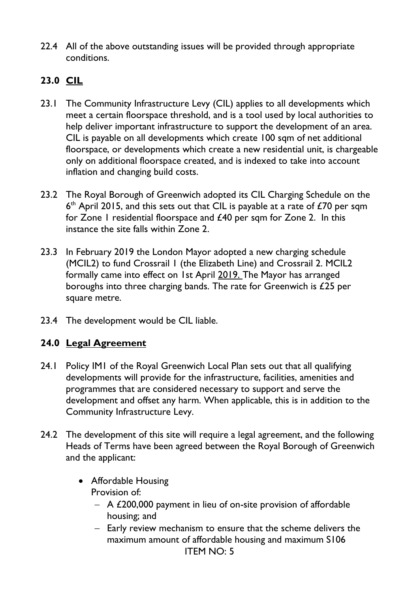22.4 All of the above outstanding issues will be provided through appropriate conditions.

# **23.0 CIL**

- 23.1 The Community Infrastructure Levy (CIL) applies to all developments which meet a certain floorspace threshold, and is a tool used by local authorities to help deliver important infrastructure to support the development of an area. CIL is payable on all developments which create 100 sqm of net additional floorspace, or developments which create a new residential unit, is chargeable only on additional floorspace created, and is indexed to take into account inflation and changing build costs.
- 23.2 The Royal Borough of Greenwich adopted its CIL Charging Schedule on the  $6<sup>th</sup>$  April 2015, and this sets out that CIL is payable at a rate of £70 per sqm for Zone I residential floorspace and £40 per sqm for Zone 2. In this instance the site falls within Zone 2.
- 23.3 In February 2019 the London Mayor adopted a new charging schedule (MCIL2) to fund Crossrail 1 (the Elizabeth Line) and Crossrail 2. MCIL2 formally came into effect on 1st April 2019. The Mayor has arranged boroughs into three charging bands. The rate for Greenwich is £25 per square metre.
- 23.4 The development would be CIL liable.

# **24.0 Legal Agreement**

- 24.1 Policy IM1 of the Royal Greenwich Local Plan sets out that all qualifying developments will provide for the infrastructure, facilities, amenities and programmes that are considered necessary to support and serve the development and offset any harm. When applicable, this is in addition to the Community Infrastructure Levy.
- 24.2 The development of this site will require a legal agreement, and the following Heads of Terms have been agreed between the Royal Borough of Greenwich and the applicant:
	- Affordable Housing Provision of:
		- − A £200,000 payment in lieu of on-site provision of affordable housing; and
		- ITEM NO: 5 − Early review mechanism to ensure that the scheme delivers the maximum amount of affordable housing and maximum S106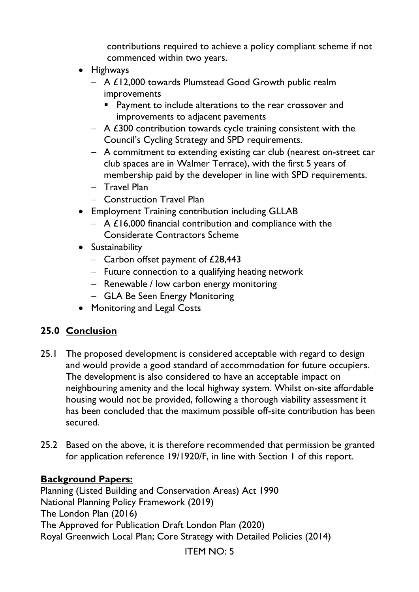contributions required to achieve a policy compliant scheme if not commenced within two years.

- Highways
	- − A £12,000 towards Plumstead Good Growth public realm improvements
		- Payment to include alterations to the rear crossover and improvements to adjacent pavements
	- − A £300 contribution towards cycle training consistent with the Council's Cycling Strategy and SPD requirements.
	- − A commitment to extending existing car club (nearest on-street car club spaces are in Walmer Terrace), with the first 5 years of membership paid by the developer in line with SPD requirements.
	- − Travel Plan
	- − Construction Travel Plan
- Employment Training contribution including GLLAB
	- − A £16,000 financial contribution and compliance with the Considerate Contractors Scheme
- Sustainability
	- − Carbon offset payment of £28,443
	- − Future connection to a qualifying heating network
	- − Renewable / low carbon energy monitoring
	- − GLA Be Seen Energy Monitoring
- Monitoring and Legal Costs

# **25.0 Conclusion**

- 25.1 The proposed development is considered acceptable with regard to design and would provide a good standard of accommodation for future occupiers. The development is also considered to have an acceptable impact on neighbouring amenity and the local highway system. Whilst on-site affordable housing would not be provided, following a thorough viability assessment it has been concluded that the maximum possible off-site contribution has been secured.
- 25.2 Based on the above, it is therefore recommended that permission be granted for application reference 19/1920/F, in line with Section 1 of this report.

### **Background Papers:**

Planning (Listed Building and Conservation Areas) Act 1990 National Planning Policy Framework (2019) The London Plan (2016) The Approved for Publication Draft London Plan (2020) Royal Greenwich Local Plan; Core Strategy with Detailed Policies (2014)